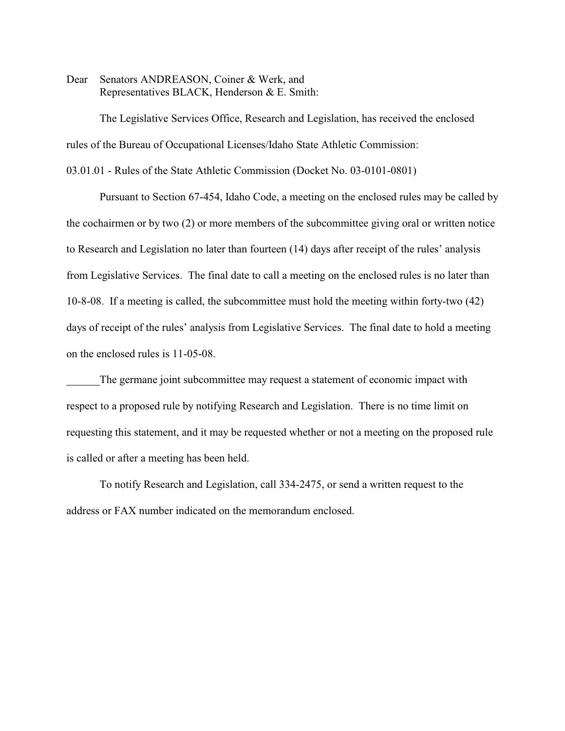Dear Senators ANDREASON, Coiner & Werk, and Representatives BLACK, Henderson & E. Smith:

The Legislative Services Office, Research and Legislation, has received the enclosed rules of the Bureau of Occupational Licenses/Idaho State Athletic Commission:

03.01.01 - Rules of the State Athletic Commission (Docket No. 03-0101-0801)

Pursuant to Section 67-454, Idaho Code, a meeting on the enclosed rules may be called by the cochairmen or by two (2) or more members of the subcommittee giving oral or written notice to Research and Legislation no later than fourteen (14) days after receipt of the rules' analysis from Legislative Services. The final date to call a meeting on the enclosed rules is no later than 10-8-08. If a meeting is called, the subcommittee must hold the meeting within forty-two (42) days of receipt of the rules' analysis from Legislative Services. The final date to hold a meeting on the enclosed rules is 11-05-08.

The germane joint subcommittee may request a statement of economic impact with respect to a proposed rule by notifying Research and Legislation. There is no time limit on requesting this statement, and it may be requested whether or not a meeting on the proposed rule is called or after a meeting has been held.

To notify Research and Legislation, call 334-2475, or send a written request to the address or FAX number indicated on the memorandum enclosed.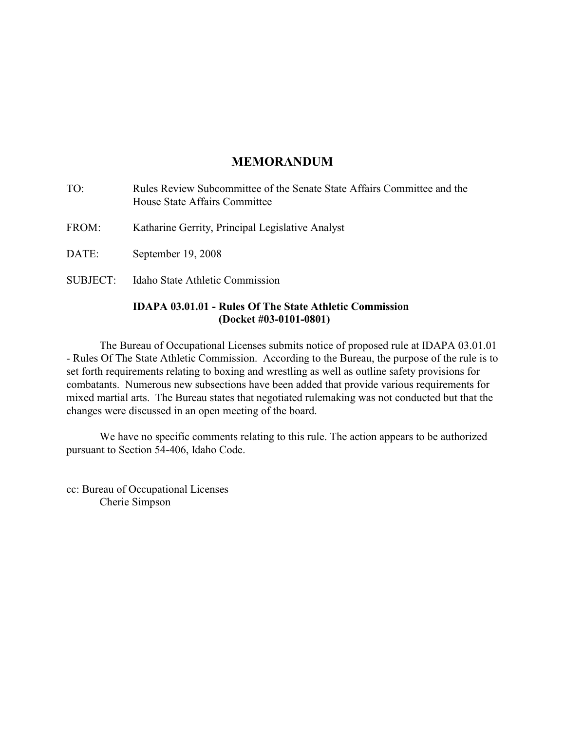# **MEMORANDUM**

|          | <b>IDAPA 03.01.01 - Rules Of The State Athletic Commission</b>                                           |
|----------|----------------------------------------------------------------------------------------------------------|
| SUBJECT: | Idaho State Athletic Commission                                                                          |
| DATE:    | September 19, 2008                                                                                       |
| FROM:    | Katharine Gerrity, Principal Legislative Analyst                                                         |
| TO:      | Rules Review Subcommittee of the Senate State Affairs Committee and the<br>House State Affairs Committee |

# **(Docket #03-0101-0801)** The Bureau of Occupational Licenses submits notice of proposed rule at IDAPA 03.01.01 - Rules Of The State Athletic Commission. According to the Bureau, the purpose of the rule is to set forth requirements relating to boxing and wrestling as well as outline safety provisions for combatants. Numerous new subsections have been added that provide various requirements for mixed martial arts. The Bureau states that negotiated rulemaking was not conducted but that the changes were discussed in an open meeting of the board.

We have no specific comments relating to this rule. The action appears to be authorized pursuant to Section 54-406, Idaho Code.

cc: Bureau of Occupational Licenses Cherie Simpson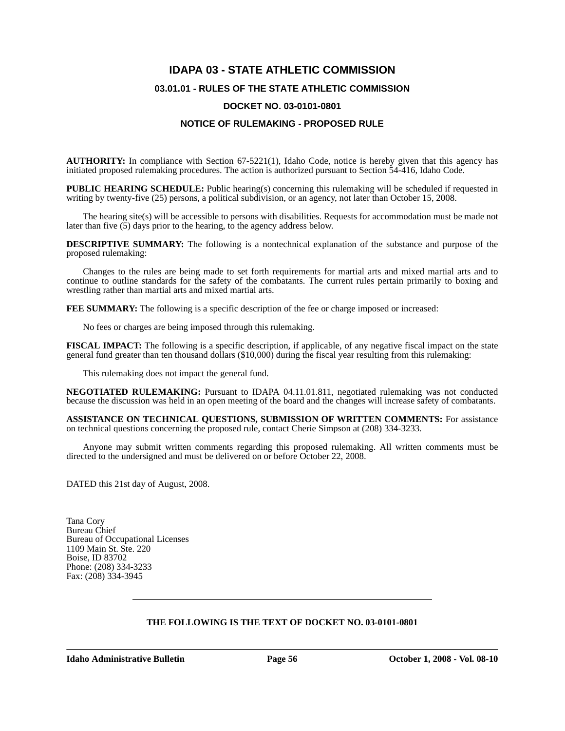# **IDAPA 03 - STATE ATHLETIC COMMISSION 03.01.01 - RULES OF THE STATE ATHLETIC COMMISSION DOCKET NO. 03-0101-0801**

## **NOTICE OF RULEMAKING - PROPOSED RULE**

**AUTHORITY:** In compliance with Section 67-5221(1), Idaho Code, notice is hereby given that this agency has initiated proposed rulemaking procedures. The action is authorized pursuant to Section 54-416, Idaho Code.

**PUBLIC HEARING SCHEDULE:** Public hearing(s) concerning this rulemaking will be scheduled if requested in writing by twenty-five (25) persons, a political subdivision, or an agency, not later than October 15, 2008.

The hearing site(s) will be accessible to persons with disabilities. Requests for accommodation must be made not later than five  $(5)$  days prior to the hearing, to the agency address below.

**DESCRIPTIVE SUMMARY:** The following is a nontechnical explanation of the substance and purpose of the proposed rulemaking:

Changes to the rules are being made to set forth requirements for martial arts and mixed martial arts and to continue to outline standards for the safety of the combatants. The current rules pertain primarily to boxing and wrestling rather than martial arts and mixed martial arts.

**FEE SUMMARY:** The following is a specific description of the fee or charge imposed or increased:

No fees or charges are being imposed through this rulemaking.

**FISCAL IMPACT:** The following is a specific description, if applicable, of any negative fiscal impact on the state general fund greater than ten thousand dollars (\$10,000) during the fiscal year resulting from this rulemaking:

This rulemaking does not impact the general fund.

**NEGOTIATED RULEMAKING:** Pursuant to IDAPA 04.11.01.811, negotiated rulemaking was not conducted because the discussion was held in an open meeting of the board and the changes will increase safety of combatants.

**ASSISTANCE ON TECHNICAL QUESTIONS, SUBMISSION OF WRITTEN COMMENTS:** For assistance on technical questions concerning the proposed rule, contact Cherie Simpson at (208) 334-3233*.*

Anyone may submit written comments regarding this proposed rulemaking. All written comments must be directed to the undersigned and must be delivered on or before October 22, 2008.

DATED this 21st day of August, 2008.

Tana Cory Bureau Chief Bureau of Occupational Licenses 1109 Main St. Ste. 220 Boise, ID 83702 Phone: (208) 334-3233 Fax: (208) 334-3945

## **THE FOLLOWING IS THE TEXT OF DOCKET NO. 03-0101-0801**

**Idaho Administrative Bulletin** Page 56 **October 1, 2008 - Vol. 08-10**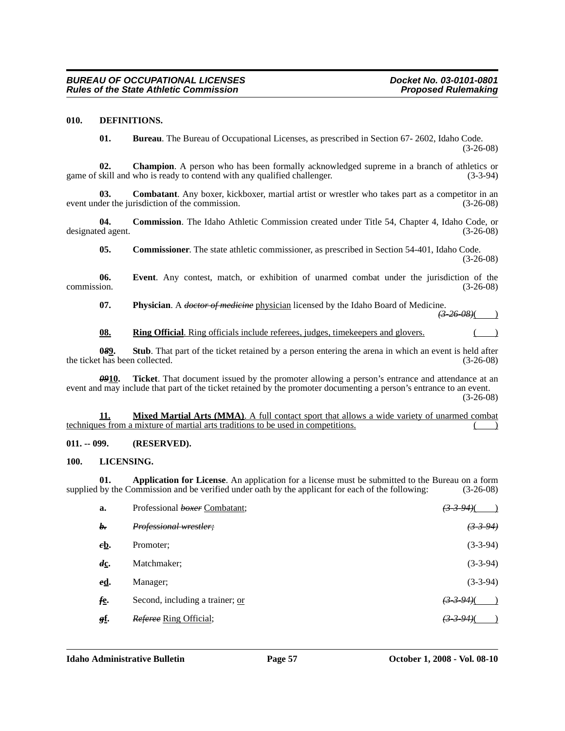## **010. DEFINITIONS.**

**01. Bureau**. The Bureau of Occupational Licenses, as prescribed in Section 67- 2602, Idaho Code. (3-26-08)

**02.** Champion. A person who has been formally acknowledged supreme in a branch of athletics or skill and who is ready to contend with any qualified challenger. (3-3-94) game of skill and who is ready to contend with any qualified challenger.

**03. Combatant**. Any boxer, kickboxer, martial artist or wrestler who takes part as a competitor in an der the jurisdiction of the commission. (3-26-08) event under the jurisdiction of the commission.

**04. Commission**. The Idaho Athletic Commission created under Title 54, Chapter 4, Idaho Code, or designated agent. (3-26-08)

**05. Commissioner**. The state athletic commissioner, as prescribed in Section 54-401, Idaho Code. (3-26-08)

**06.** Event. Any contest, match, or exhibition of unarmed combat under the jurisdiction of the commission.  $(3-26-08)$ commission. (3-26-08)

07. Physician. A *doctor of medicine* physician licensed by the Idaho Board of Medicine. *(3-26-08)*( )

**08. Ring Official**. Ring officials include referees, judges, timekeepers and glovers.

**082.** Stub. That part of the ticket retained by a person entering the arena in which an event is held after thas been collected. (3-26-08) the ticket has been collected.

*09***10. Ticket**. That document issued by the promoter allowing a person's entrance and attendance at an event and may include that part of the ticket retained by the promoter documenting a person's entrance to an event. (3-26-08)

**11. Mixed Martial Arts (MMA)**. A full contact sport that allows a wide variety of unarmed combat techniques from a mixture of martial arts traditions to be used in competitions.

#### **011. -- 099. (RESERVED).**

#### **100. LICENSING.**

**01. Application for License**. An application for a license must be submitted to the Bureau on a form supplied by the Commission and be verified under oath by the applicant for each of the following: (3-26-08)

| a.             | Professional boxer Combatant;   | <u>(3–3–94)(</u>      |
|----------------|---------------------------------|-----------------------|
| b.             | Professional wrestler;          | <del>(3-3-94)</del>   |
| $e$ <b>b</b> . | Promoter;                       | $(3-3-94)$            |
| dс.            | Matchmaker:                     | $(3-3-94)$            |
| <u>ed</u> .    | Manager;                        | $(3-3-94)$            |
| fe.            | Second, including a trainer; or | $(3-3-94)$            |
| gf.            | Referee Ring Official;          | <del>(3 3 94)</del> ( |
|                |                                 |                       |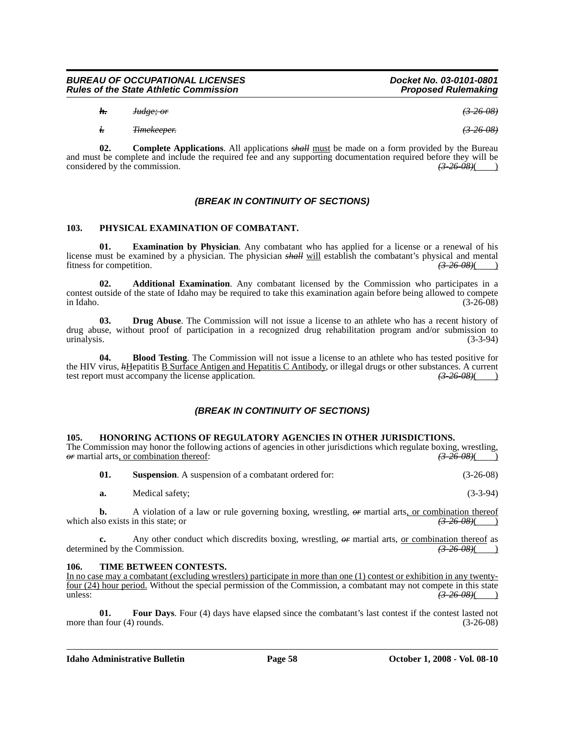*h. Judge; or (3-26-08)*

*i. Timekeeper. (3-26-08)*

**02. Complete Applications**. All applications *shall* must be made on a form provided by the Bureau and must be complete and include the required fee and any supporting documentation required before they will be considered by the commission.  $\left(3-26-08\right)\left(1-1\right)$ considered by the commission.

## *(BREAK IN CONTINUITY OF SECTIONS)*

## **103. PHYSICAL EXAMINATION OF COMBATANT.**

**01. Examination by Physician**. Any combatant who has applied for a license or a renewal of his license must be examined by a physician. The physician *shall* will establish the combatant's physical and mental fitness for competition. *(3-26-08)*( )

**02. Additional Examination**. Any combatant licensed by the Commission who participates in a contest outside of the state of Idaho may be required to take this examination again before being allowed to compete in Idaho. (3-26-08)

**03. Drug Abuse**. The Commission will not issue a license to an athlete who has a recent history of drug abuse, without proof of participation in a recognized drug rehabilitation program and/or submission to urinalysis. (3-3-94)

**04. Blood Testing**. The Commission will not issue a license to an athlete who has tested positive for the HIV virus, *h*Hepatitis <u>B Surface Antigen and Hepatitis C Antibody</u>, or illegal drugs or other substances. A current test report must accompany the license application. (3-26-08)(4) test report must accompany the license application.

## *(BREAK IN CONTINUITY OF SECTIONS)*

#### **105. HONORING ACTIONS OF REGULATORY AGENCIES IN OTHER JURISDICTIONS.**

The Commission may honor the following actions of agencies in other jurisdictions which regulate boxing, wrestling,  $\theta$  martial arts, or combination thereof:  $(3-26-0.8)$ 

| 01. | <b>Suspension.</b> A suspension of a combatant ordered for: | $(3-26-08)$ |
|-----|-------------------------------------------------------------|-------------|
|     |                                                             |             |

**a.** Medical safety; (3-3-94)

**b.** A violation of a law or rule governing boxing, wrestling,  $\theta$  martial arts, or combination thereof so exists in this state: or which also exists in this state; or

**c.** Any other conduct which discredits boxing, wrestling,  $\theta$  martial arts, <u>or combination thereof</u> as ed by the Commission.  $\frac{12-26-08}{1}$ determined by the Commission.

#### **106. TIME BETWEEN CONTESTS.**

In no case may a combatant (excluding wrestlers) participate in more than one (1) contest or exhibition in any twentyfour (24) hour period. Without the special permission of the Commission, a combatant may not compete in this state unless:  $\sqrt{(3-26-08)}$ 

**01.** Four Days. Four (4) days have elapsed since the combatant's last contest if the contest lasted not more than four (4) rounds. (3-26-08)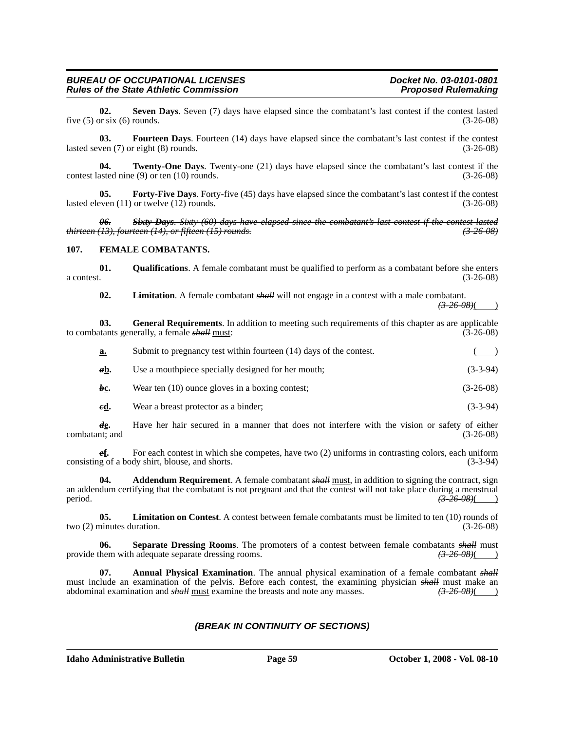**02.** Seven Days. Seven (7) days have elapsed since the combatant's last contest if the contest lasted or six (6) rounds. (3-26-08) five  $(5)$  or six  $(6)$  rounds.

**03. Fourteen Days**. Fourteen (14) days have elapsed since the combatant's last contest if the contest lasted seven (7) or eight (8) rounds. (3-26-08)

**04. Twenty-One Days**. Twenty-one (21) days have elapsed since the combatant's last contest if the contest lasted nine (9) or ten (10) rounds. (3-26-08)

**05.** Forty-Five Days. Forty-five (45) days have elapsed since the combatant's last contest if the contest lasted eleven (11) or twelve (12) rounds. (3-26-08)

*06. Sixty Days. Sixty (60) days have elapsed since the combatant's last contest if the contest lasted thirteen (13), fourteen (14), or fifteen (15) rounds. (3-26-08)*

#### **107. FEMALE COMBATANTS.**

**01. Qualifications**. A female combatant must be qualified to perform as a combatant before she enters  $a$  contest.  $(3-26-08)$ 

**02. Limitation**. A female combatant *shall* will not engage in a contest with a male combatant.

*(3-26-08)*( )

**03. General Requirements**. In addition to meeting such requirements of this chapter as are applicable to combatants generally, a female *shall* must: (3-26-08)

| a.  | Submit to pregnancy test within fourteen (14) days of the contest. |             |
|-----|--------------------------------------------------------------------|-------------|
| ab. | Use a mouthpiece specially designed for her mouth;                 | $(3-3-94)$  |
| bc. | Wear ten (10) ounce gloves in a boxing contest;                    | $(3-26-08)$ |

*e***<u>d</u>.** Wear a breast protector as a binder; (3-3-94)

*d***e.** Have her hair secured in a manner that does not interfere with the vision or safety of either combatant; and (3-26-08)

*e***f.** For each contest in which she competes, have two (2) uniforms in contrasting colors, each uniform consisting of a body shirt, blouse, and shorts. (3-3-94)

**Addendum Requirement**. A female combatant *shall* must, in addition to signing the contract, sign an addendum certifying that the combatant is not pregnant and that the contest will not take place during a menstrual period. *(3-26-08)*( )

**05.** Limitation on Contest. A contest between female combatants must be limited to ten (10) rounds of minutes duration. (3-26-08) two  $(2)$  minutes duration.

**Separate Dressing Rooms**. The promoters of a contest between female combatants *shall* must adequate separate dressing rooms. provide them with adequate separate dressing rooms.

**07.** Annual Physical Examination. The annual physical examination of a female combatant *shall* must include an examination of the pelvis. Before each contest, the examining physician *shall* must make an abdominal examination and *shall* must examine the breasts and note any masses. *(3-26-08)*( )

## *(BREAK IN CONTINUITY OF SECTIONS)*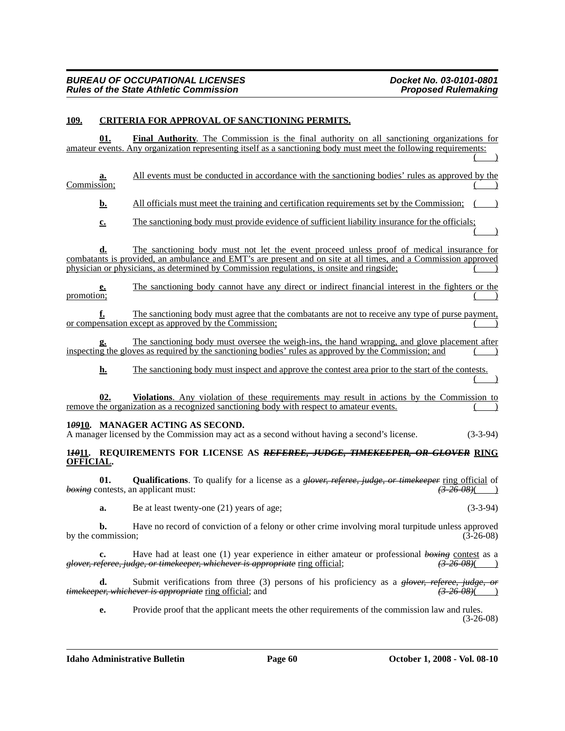## **109. CRITERIA FOR APPROVAL OF SANCTIONING PERMITS.**

| 01.                      | <b>Final Authority.</b> The Commission is the final authority on all sanctioning organizations for                                                                                                                                         |
|--------------------------|--------------------------------------------------------------------------------------------------------------------------------------------------------------------------------------------------------------------------------------------|
|                          | amateur events. Any organization representing itself as a sanctioning body must meet the following requirements:                                                                                                                           |
|                          |                                                                                                                                                                                                                                            |
| a.                       | All events must be conducted in accordance with the sanctioning bodies' rules as approved by the                                                                                                                                           |
| Commission;              |                                                                                                                                                                                                                                            |
| b.                       | All officials must meet the training and certification requirements set by the Commission;                                                                                                                                                 |
| $c_{\cdot}$              | The sanctioning body must provide evidence of sufficient liability insurance for the officials;                                                                                                                                            |
|                          |                                                                                                                                                                                                                                            |
| d.                       | The sanctioning body must not let the event proceed unless proof of medical insurance for                                                                                                                                                  |
|                          | combatants is provided, an ambulance and EMT's are present and on site at all times, and a Commission approved<br>physician or physicians, as determined by Commission regulations, is onsite and ringside;                                |
|                          |                                                                                                                                                                                                                                            |
| <u>e.</u>                | The sanctioning body cannot have any direct or indirect financial interest in the fighters or the                                                                                                                                          |
| promotion;               |                                                                                                                                                                                                                                            |
| f.                       | The sanctioning body must agree that the combatants are not to receive any type of purse payment,                                                                                                                                          |
|                          | or compensation except as approved by the Commission;                                                                                                                                                                                      |
|                          |                                                                                                                                                                                                                                            |
| g.                       | The sanctioning body must oversee the weigh-ins, the hand wrapping, and glove placement after<br>inspecting the gloves as required by the sanctioning bodies' rules as approved by the Commission; and                                     |
| <u>h.</u>                | The sanctioning body must inspect and approve the contest area prior to the start of the contests.                                                                                                                                         |
| 02.                      | Violations. Any violation of these requirements may result in actions by the Commission to<br>remove the organization as a recognized sanctioning body with respect to amateur events.                                                     |
|                          |                                                                                                                                                                                                                                            |
|                          | 10910. MANAGER ACTING AS SECOND.<br>A manager licensed by the Commission may act as a second without having a second's license.<br>$(3-3-94)$                                                                                              |
|                          | 14911. REQUIREMENTS FOR LICENSE AS REFEREE, JUDGE, TIMEKEEPER, OR GLOVER RING                                                                                                                                                              |
| <b>OFFICIAL.</b>         |                                                                                                                                                                                                                                            |
| 01.                      | <b>Qualifications</b> . To qualify for a license as a <i>glover, referee, judge, or timekeeper</i> ring official of<br><del>(3-26-08)</del> (                                                                                              |
|                          | boxing contests, an applicant must:                                                                                                                                                                                                        |
| a.                       | $(3-3-94)$<br>Be at least twenty-one (21) years of age;                                                                                                                                                                                    |
| h.<br>by the commission; | Have no record of conviction of a felony or other crime involving moral turpitude unless approved<br>$(3-26-08)$                                                                                                                           |
|                          | Have had at least one (1) year experience in either amateur or professional $b \rightarrow b \rightarrow c \rightarrow c$ as a<br>glover, referee, judge, or timekeeper, whichever is appropriate ring official;<br><del>(3-26-08)</del> ( |

**d.** Submit verifications from three (3) persons of his proficiency as a *glover, referee, judge, or er, whichever is appropriate* ring official; and (3)  $\frac{26608}{ }$  (3) *timekeeper, whichever is appropriate* ring official; and *(3-26-08)*( )

**e.** Provide proof that the applicant meets the other requirements of the commission law and rules. (3-26-08)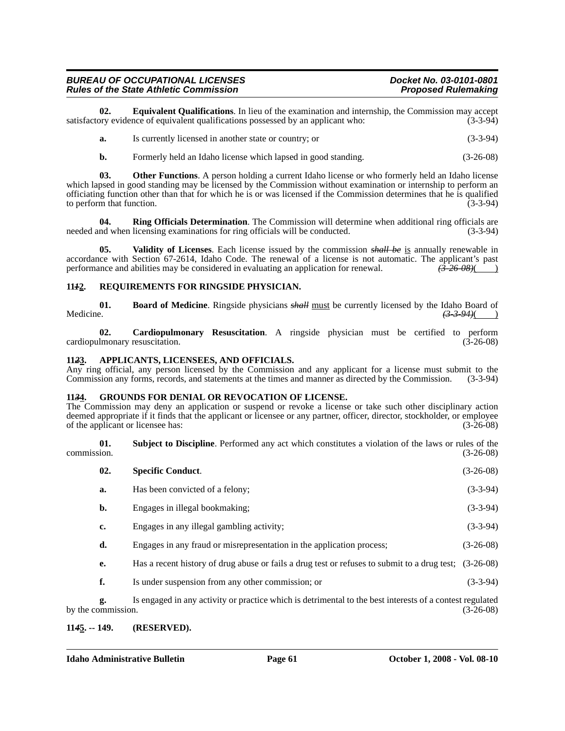**02. Equivalent Qualifications**. In lieu of the examination and internship, the Commission may accept ory evidence of equivalent qualifications possessed by an applicant who: satisfactory evidence of equivalent qualifications possessed by an applicant who:

| Is currently licensed in another state or country; or | $(3-3-94)$ |
|-------------------------------------------------------|------------|
|                                                       |            |

**b.** Formerly held an Idaho license which lapsed in good standing. (3-26-08)

**03. Other Functions**. A person holding a current Idaho license or who formerly held an Idaho license which lapsed in good standing may be licensed by the Commission without examination or internship to perform an officiating function other than that for which he is or was licensed if the Commission determines that he is qualified to perform that function. (3-3-94)

**04. Ring Officials Determination**. The Commission will determine when additional ring officials are needed and when licensing examinations for ring officials will be conducted. (3-3-94)

**05. Validity of Licenses**. Each license issued by the commission *shall be* is annually renewable in accordance with Section 67-2614, Idaho Code. The renewal of a license is not automatic. The applicant's past performance and abilities may be considered in evaluating an application for renewal.  $\left(3-26-0.8\right)$  (3.426) performance and abilities may be considered in evaluating an application for renewal.

#### **11***1***2. REQUIREMENTS FOR RINGSIDE PHYSICIAN.**

**01. Board of Medicine**. Ringside physicians *shall* <u>must</u> be currently licensed by the Idaho Board of Medicine. Medicine. *(3-3-94)*( )

**02. Cardiopulmonary Resuscitation**. A ringside physician must be certified to perform lmonary resuscitation. (3-26-08) cardiopulmonary resuscitation.

#### **11***2***3. APPLICANTS, LICENSEES, AND OFFICIALS.**

Any ring official, any person licensed by the Commission and any applicant for a license must submit to the Commission any forms, records, and statements at the times and manner as directed by the Commission. (3-3-94)

#### **11***3***4. GROUNDS FOR DENIAL OR REVOCATION OF LICENSE.**

The Commission may deny an application or suspend or revoke a license or take such other disciplinary action deemed appropriate if it finds that the applicant or licensee or any partner, officer, director, stockholder, or employee of the applicant or licensee has: (3-26-08) of the applicant or licensee has:

**01. Subject to Discipline**. Performed any act which constitutes a violation of the laws or rules of the commission. (3-26-08)

| 02. | <b>Specific Conduct.</b>                                                                               | $(3-26-08)$ |
|-----|--------------------------------------------------------------------------------------------------------|-------------|
| a.  | Has been convicted of a felony;                                                                        | $(3-3-94)$  |
| b.  | Engages in illegal bookmaking;                                                                         | $(3-3-94)$  |
| c.  | Engages in any illegal gambling activity;                                                              | $(3-3-94)$  |
| d.  | Engages in any fraud or misrepresentation in the application process;                                  | $(3-26-08)$ |
| e.  | Has a recent history of drug abuse or fails a drug test or refuses to submit to a drug test; (3-26-08) |             |
| f.  | Is under suspension from any other commission; or                                                      | $(3-3-94)$  |

**g.** Is engaged in any activity or practice which is detrimental to the best interests of a contest regulated by the commission.

#### **11***4***5. -- 149. (RESERVED).**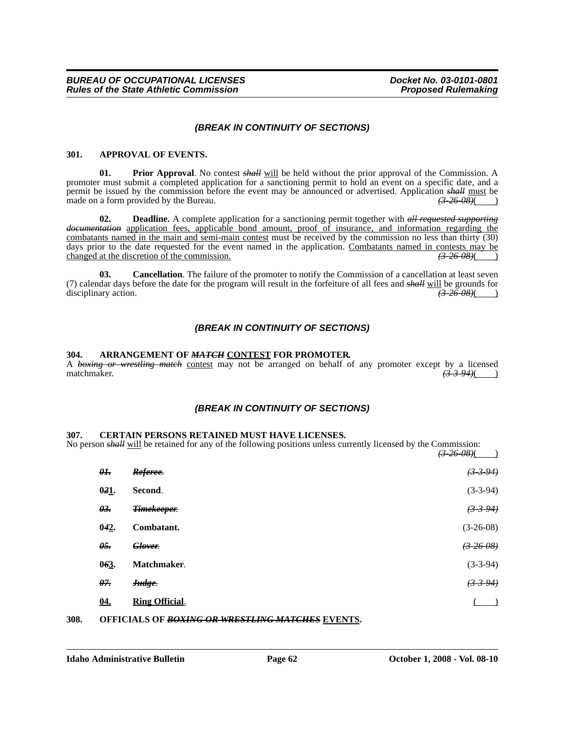## *(BREAK IN CONTINUITY OF SECTIONS)*

#### **301. APPROVAL OF EVENTS.**

**01. Prior Approval**. No contest *shall* will be held without the prior approval of the Commission. A promoter must submit a completed application for a sanctioning permit to hold an event on a specific date, and a permit be issued by the commission before the event may be announced or advertised. Application *shall* must be made on a form provided by the Bureau. made on a form provided by the Bureau.  $\left(3.26-0.08\right)(\frac{1}{2})$ 

**02. Deadline.** A complete application for a sanctioning permit together with *all requested supporting documentation* application fees, applicable bond amount, proof of insurance, and information regarding the combatants named in the main and semi-main contest must be received by the commission no less than thirty (30) days prior to the date requested for the event named in the application. Combatants named in contests may be changed at the discretion of the commission. changed at the discretion of the commission.

**03.** Cancellation. The failure of the promoter to notify the Commission of a cancellation at least seven (7) calendar days before the date for the program will result in the forfeiture of all fees and *shall* will be grounds for disciplinary action. *(3-26-08)*( )

## *(BREAK IN CONTINUITY OF SECTIONS)*

#### **304. ARRANGEMENT OF** *MATCH* **CONTEST FOR PROMOTER.**

A *boxing or wrestling match* contest may not be arranged on behalf of any promoter except by a licensed matchmaker. *(3-3-94)*( )

## *(BREAK IN CONTINUITY OF SECTIONS)*

#### **307. CERTAIN PERSONS RETAINED MUST HAVE LICENSES.**

No person *shall* will be retained for any of the following positions unless currently licensed by the Commission: *(3-26-08)*( )

|                 |                       | <del>וסט־פע נ</del> |
|-----------------|-----------------------|---------------------|
| $\theta$ l.     | Referee.              | (3394)              |
| $0.21$ .        | Second.               | $(3-3-94)$          |
| $\theta$ 3.     | <b>Timekeeper.</b>    | $(3-3-94)$          |
| 042.            | Combatant.            | $(3-26-08)$         |
| $\theta$ 5.     | Glover.               | $(3-26-08)$         |
| 063.            | Matchmaker.           | $(3-3-94)$          |
| θ <del>7.</del> | Judge.                | (3394)              |
| <u>04.</u>      | <b>Ring Official.</b> |                     |
|                 |                       |                     |

#### **308. OFFICIALS OF** *BOXING OR WRESTLING MATCHES* **EVENTS.**

## **Idaho Administrative Bulletin Page 62 October 1, 2008 - Vol. 08-10**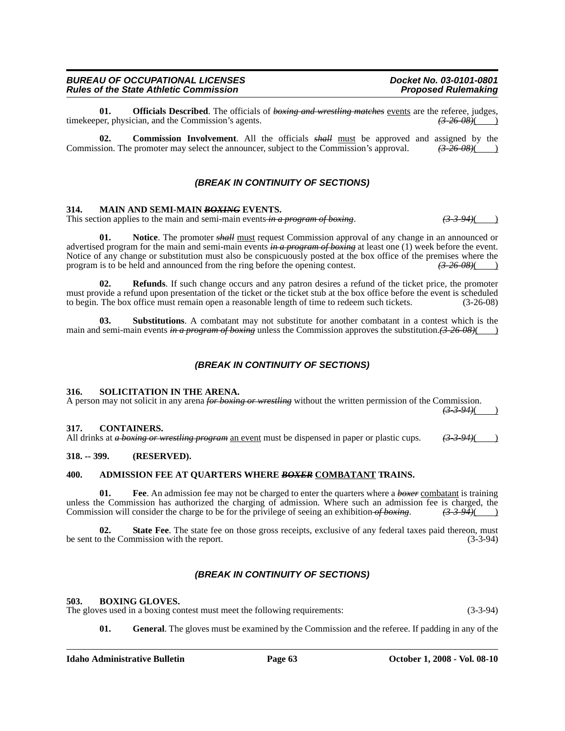**01. Officials Described**. The officials of *boxing and wrestling matches* events are the referee, judges, timekeeper, physician, and the Commission's agents.

**02. Commission Involvement**. All the officials  $\frac{\partial H}{\partial x}$  must be approved and assigned by the sion. The promoter may select the announcer, subject to the Commission's approval.  $\left(\frac{3.26}{2.266}\right)$ Commission. The promoter may select the announcer, subject to the Commission's approval.

### *(BREAK IN CONTINUITY OF SECTIONS)*

#### **314. MAIN AND SEMI-MAIN** *BOXING* **EVENTS.**

This section applies to the main and semi-main events *in a program of boxing*.  $(3-3-94)$ 

**01.** Notice. The promoter *shall* must request Commission approval of any change in an announced or advertised program for the main and semi-main events *in a program of boxing* at least one (1) week before the event. Notice of any change or substitution must also be conspicuously posted at the box office of the premises where the program is to be held and announced from the ring before the opening contest. *(3-26-08)*( )

**02. Refunds**. If such change occurs and any patron desires a refund of the ticket price, the promoter must provide a refund upon presentation of the ticket or the ticket stub at the box office before the event is scheduled to begin. The box office must remain open a reasonable length of time to redeem such tickets. (3-26-08)

**03.** Substitutions. A combatant may not substitute for another combatant in a contest which is the main and semi-main events *in a program of boxing* unless the Commission approves the substitution. (3-26-08)( )

## *(BREAK IN CONTINUITY OF SECTIONS)*

#### **316. SOLICITATION IN THE ARENA.**

A person may not solicit in any arena *for boxing or wrestling* without the written permission of the Commission.  $(3-3-94)$ ( )

#### **317. CONTAINERS.**

All drinks at *a boxing or wrestling program* an event must be dispensed in paper or plastic cups. *(3-3-94)*( )

### **318. -- 399. (RESERVED).**

#### **400. ADMISSION FEE AT QUARTERS WHERE** *BOXER* **COMBATANT TRAINS.**

**01. Fee**. An admission fee may not be charged to enter the quarters where a *boxer* combatant is training unless the Commission has authorized the charging of admission. Where such an admission fee is charged, the Commission will consider the charge to be for the privilege of seeing an exhibition of boxing.  $(3-3-94)$ Commission will consider the charge to be for the privilege of seeing an exhibition of boxing.

**02. State Fee**. The state fee on those gross receipts, exclusive of any federal taxes paid thereon, must be sent to the Commission with the report. (3-3-94)

## *(BREAK IN CONTINUITY OF SECTIONS)*

#### **503. BOXING GLOVES.**

The gloves used in a boxing contest must meet the following requirements: (3-3-94)

**01. General**. The gloves must be examined by the Commission and the referee. If padding in any of the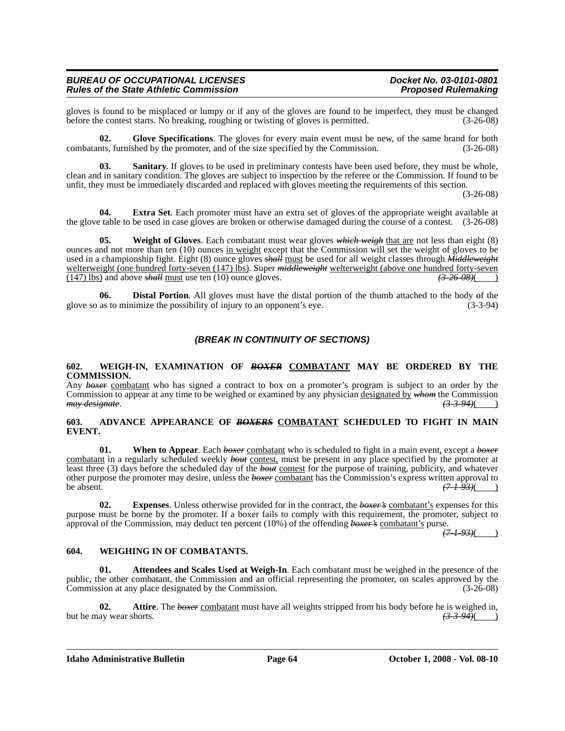gloves is found to be misplaced or lumpy or if any of the gloves are found to be imperfect, they must be changed before the contest starts. No breaking, roughing or twisting of gloves is permitted. (3-26-08)

**02. Glove Specifications**. The gloves for every main event must be new, of the same brand for both combatants, furnished by the promoter, and of the size specified by the Commission. (3-26-08)

**03. Sanitary**. If gloves to be used in preliminary contests have been used before, they must be whole, clean and in sanitary condition. The gloves are subject to inspection by the referee or the Commission. If found to be unfit, they must be immediately discarded and replaced with gloves meeting the requirements of this section.

(3-26-08)

**04. Extra Set**. Each promoter must have an extra set of gloves of the appropriate weight available at the glove table to be used in case gloves are broken or otherwise damaged during the course of a contest. (3-26-08)

**05. Weight of Gloves**. Each combatant must wear gloves *which weigh* that are not less than eight (8) ounces and not more than ten (10) ounces in weight except that the Commission will set the weight of gloves to be used in a championship fight. Eight (8) ounce gloves *shall* must be used for all weight classes through *Middleweight* welterweight (one hundred forty-seven (147) lbs). Super *middleweight* welterweight (above one hundred forty-seven (147) lbs) and above *shall* must use ten (10) ounce gloves. (147) lbs) and above  $\frac{\partial H}{\partial x}$  must use ten (10) ounce gloves.

**06. Distal Portion**. All gloves must have the distal portion of the thumb attached to the body of the as to minimize the possibility of injury to an opponent's eve. (3-3-94) glove so as to minimize the possibility of injury to an opponent's eye.

## *(BREAK IN CONTINUITY OF SECTIONS)*

#### **602. WEIGH-IN, EXAMINATION OF** *BOXER* **COMBATANT MAY BE ORDERED BY THE COMMISSION.**

Any *boxer* combatant who has signed a contract to box on a promoter's program is subject to an order by the Commission to appear at any time to be weighed or examined by any physician designated by *whom* the Commission *may designate*. *(3-3-94)*( )

#### **603. ADVANCE APPEARANCE OF** *BOXERS* **COMBATANT SCHEDULED TO FIGHT IN MAIN EVENT.**

**01.** When to Appear. Each *boxer* combatant who is scheduled to fight in a main event, except a *boxer* combatant in a regularly scheduled weekly *bout* contest, must be present in any place specified by the promoter at least three (3) days before the scheduled day of the *bout* contest for the purpose of training, publicity, and whatever other purpose the promoter may desire, unless the *boxer* combatant has the Commission's express written approval to be absent. *(7-1-93)*( )

**02. Expenses**. Unless otherwise provided for in the contract, the *boxer's* combatant's expenses for this purpose must be borne by the promoter. If a boxer fails to comply with this requirement, the promoter, subject to approval of the Commission, may deduct ten percent (10%) of the offending *boxer's* combatant's purse.

*(7-1-93)*( )

#### **604. WEIGHING IN OF COMBATANTS.**

**01.** Attendees and Scales Used at Weigh-In. Each combatant must be weighed in the presence of the public, the other combatant, the Commission and an official representing the promoter, on scales approved by the Commission at any place designated by the Commission. (3-26-08)

**02. Attire**. The *boxer* combatant must have all weights stripped from his body before he is weighed in, but he may wear shorts.  $(3-3-94)$ 

**Idaho Administrative Bulletin Page 64 October 1, 2008 - Vol. 08-10**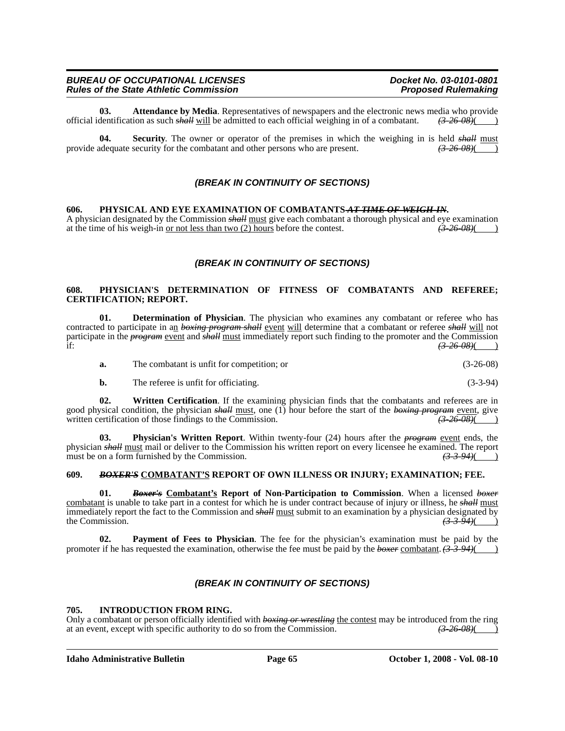**03. Attendance by Media**. Representatives of newspapers and the electronic news media who provide dentification as such shall will be admitted to each official weighing in of a combatant.  $\left(326.08\right)$ official identification as such *shall* will be admitted to each official weighing in of a combatant. *(3-26-08)*( )

**04.** Security. The owner or operator of the premises in which the weighing in is held *shall* must adequate security for the combatant and other persons who are present.  $\left(3.26-0.8\right)$  ( $\left(3.26-0.8\right)$ ) provide adequate security for the combatant and other persons who are present.

## *(BREAK IN CONTINUITY OF SECTIONS)*

**606.** PHYSICAL AND EYE EXAMINATION OF COMBATANTS<del> AT TIME OF WEIGH-IN</del>.<br>A physician designated by the Commission *shall* <u>must</u> give each combatant a thorough physical and eye examination at the time of his weigh-in or n at the time of his weigh-in <u>or not less than two  $(2)$  hours</u> before the contest.

## *(BREAK IN CONTINUITY OF SECTIONS)*

#### **608. PHYSICIAN'S DETERMINATION OF FITNESS OF COMBATANTS AND REFEREE; CERTIFICATION; REPORT.**

**01. Determination of Physician**. The physician who examines any combatant or referee who has contracted to participate in an *boxing program shall* event will determine that a combatant or referee *shall* will not participate in the *program* event and *shall* must immediately report such finding to the promoter and the Commission if: *(3-26-08)*( )

| The combatant is unfit for competition; or | $(3-26-08)$ |
|--------------------------------------------|-------------|
|                                            |             |

**b.** The referee is unfit for officiating. (3-3-94)

**02.** Written Certification. If the examining physician finds that the combatants and referees are in good physical condition, the physician *shall* <u>must</u>, one (1) hour before the start of the *boxing program* event, give written certification of those findings to the Commission. written certification of those findings to the Commission.  $(3-26-0.08)(1)$ 

**03. Physician's Written Report**. Within twenty-four (24) hours after the *program* event ends, the physician *shall* must mail or deliver to the Commission his written report on every licensee he examined. The report must be on a form furnished by the Commission. must be on a form furnished by the Commission.

## **609.** *BOXER'S* **COMBATANT'S REPORT OF OWN ILLNESS OR INJURY; EXAMINATION; FEE.**

**01.** *Boxer's* **Combatant's Report of Non-Participation to Commission**. When a licensed *boxer* combatant is unable to take part in a contest for which he is under contract because of injury or illness, he *shall* must immediately report the fact to the Commission and  $\frac{\text{shell}}{\text{must}}$  submit to an examination by a physician designated by the Commission. the Commission. *(3-3-94)*( )

**02. Payment of Fees to Physician**. The fee for the physician's examination must be paid by the promoter if he has requested the examination, otherwise the fee must be paid by the *boxer* combatant. (3-3-94)(

## *(BREAK IN CONTINUITY OF SECTIONS)*

#### **705. INTRODUCTION FROM RING.**

Only a combatant or person officially identified with *boxing or wrestling* the contest may be introduced from the ring at an event, except with specific authority to do so from the Commission.  $\left(3-26-08\right)$ at an event, except with specific authority to do so from the Commission.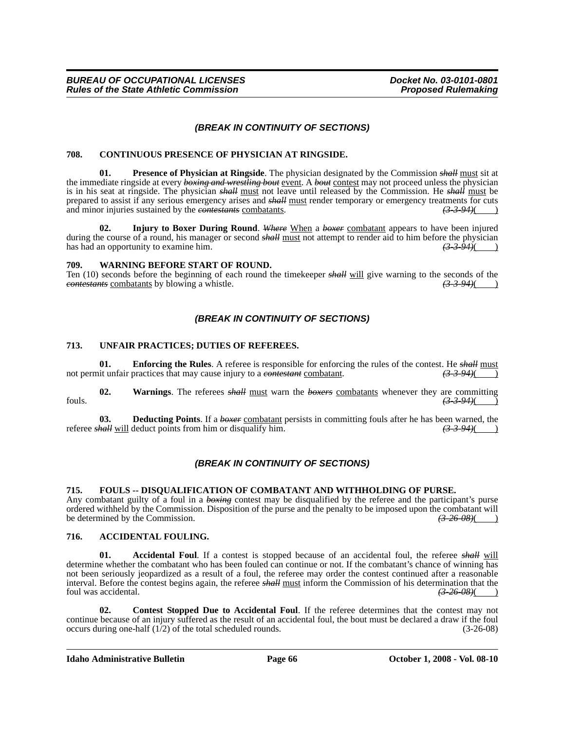## *(BREAK IN CONTINUITY OF SECTIONS)*

#### **708. CONTINUOUS PRESENCE OF PHYSICIAN AT RINGSIDE.**

**01. Presence of Physician at Ringside**. The physician designated by the Commission *shall* must sit at the immediate ringside at every *boxing and wrestling bout* event. A *bout* contest may not proceed unless the physician is in his seat at ringside. The physician *shall* must not leave until released by the Commission. He *shall* must be prepared to assist if any serious emergency arises and *shall* must render temporary or emergency treatments for cuts and minor injuries sustained by the *contestants* combatants.  $(3-3-94)$  (3-3-94)

**02. Injury to Boxer During Round**. *Where* When a *boxer* combatant appears to have been injured during the course of a round, his manager or second *shall* <u>must</u> not attempt to render aid to him before the physician has had an opportunity to examine him. has had an opportunity to examine him.

#### **709. WARNING BEFORE START OF ROUND.**

Ten (10) seconds before the beginning of each round the timekeeper *shall* will give warning to the seconds of the *contestants* combatants by blowing a whistle.  $\frac{(3.3.94)}{(1.3.94)}$ *contestants* combatants by blowing a whistle.

## *(BREAK IN CONTINUITY OF SECTIONS)*

#### **713. UNFAIR PRACTICES; DUTIES OF REFEREES.**

**01.** Enforcing the Rules. A referee is responsible for enforcing the rules of the contest. He *shall* must not permit unfair practices that may cause injury to a *contestant* combatant.  $(3-3-94)$  (3-3-94)

**02. Warnings**. The referees *shall* must warn the *boxers* combatants whenever they are committing fouls. *(3-3-94)*( )

**03. Deducting Points**. If a *boxer* combatant persists in committing fouls after he has been warned, the referee *shall* will deduct points from him or disqualify him.  $(3-3-94)$  (3-3-94)

## *(BREAK IN CONTINUITY OF SECTIONS)*

#### **715. FOULS -- DISQUALIFICATION OF COMBATANT AND WITHHOLDING OF PURSE.**

Any combatant guilty of a foul in a *boxing* contest may be disqualified by the referee and the participant's purse ordered withheld by the Commission. Disposition of the purse and the penalty to be imposed upon the combatant will be determined by the Commission. be determined by the Commission.

#### **716. ACCIDENTAL FOULING.**

**01. Accidental Foul**. If a contest is stopped because of an accidental foul, the referee *shall* will determine whether the combatant who has been fouled can continue or not. If the combatant's chance of winning has not been seriously jeopardized as a result of a foul, the referee may order the contest continued after a reasonable interval. Before the contest begins again, the referee *shall* must inform the Commission of his determination that the foul was accidental. *(3-26-08)*( )

**02. Contest Stopped Due to Accidental Foul**. If the referee determines that the contest may not continue because of an injury suffered as the result of an accidental foul, the bout must be declared a draw if the foul occurs during one-half (1/2) of the total scheduled rounds. (3-26-08) occurs during one-half  $(1/2)$  of the total scheduled rounds.

#### **Idaho Administrative Bulletin Page 66 Corresponding Line Scriber 1, 2008 - Vol. 08-10**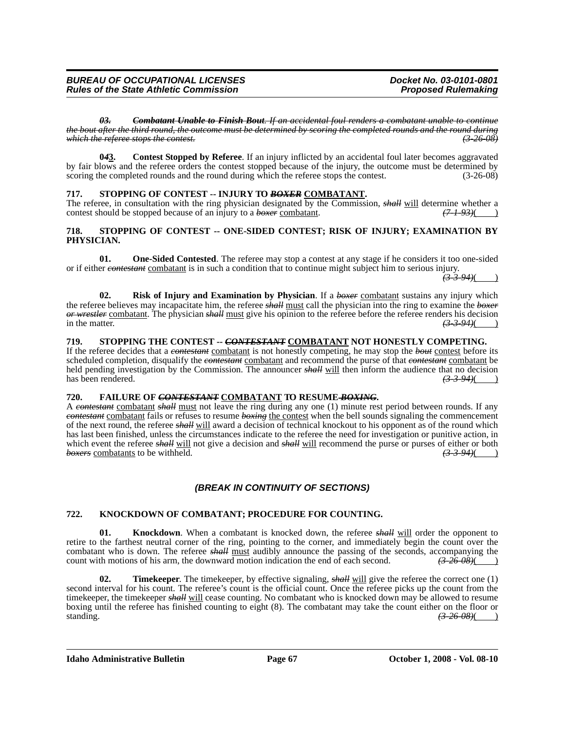*03. Combatant Unable to Finish Bout. If an accidental foul renders a combatant unable to continue the bout after the third round, the outcome must be determined by scoring the completed rounds and the round during which the referee stops the contest.* 

**0***4***3. Contest Stopped by Referee**. If an injury inflicted by an accidental foul later becomes aggravated by fair blows and the referee orders the contest stopped because of the injury, the outcome must be determined by scoring the completed rounds and the round during which the referee stops the contest. (3-26-08)

## **717. STOPPING OF CONTEST -- INJURY TO** *BOXER* **COMBATANT.**

The referee, in consultation with the ring physician designated by the Commission, *shall* will determine whether a contest should be stopped because of an injury to a *boxer* combatant.  $(7-1-93)$ 

#### **718. STOPPING OF CONTEST -- ONE-SIDED CONTEST; RISK OF INJURY; EXAMINATION BY PHYSICIAN.**

**01. One-Sided Contested**. The referee may stop a contest at any stage if he considers it too one-sided or if either *contestant* combatant is in such a condition that to continue might subject him to serious injury.

*(3-3-94)*( )

**02.** Risk of Injury and Examination by Physician. If a *boxer* combatant sustains any injury which the referee believes may incapacitate him, the referee *shall* must call the physician into the ring to examine the *boxer or wrestler* combatant. The physician *shall* must give his opinion to the referee before the referee renders his decision in the matter.  $\frac{(3-3-94)}{(2-3-94)}$ 

### **719. STOPPING THE CONTEST --** *CONTESTANT* **COMBATANT NOT HONESTLY COMPETING.**

If the referee decides that a *contestant* combatant is not honestly competing, he may stop the *bout* contest before its scheduled completion, disqualify the *contestant* combatant and recommend the purse of that *contestant* combatant be held pending investigation by the Commission. The announcer *shall* will then inform the audience that no decision has been rendered.  $\left(3\text{-}3\text{-}94\right)$ 

#### **720. FAILURE OF** *CONTESTANT* **COMBATANT TO RESUME** *BOXING***.**

A *contestant* combatant *shall* must not leave the ring during any one (1) minute rest period between rounds. If any *contestant* combatant fails or refuses to resume *boxing* the contest when the bell sounds signaling the commencement of the next round, the referee *shall* will award a decision of technical knockout to his opponent as of the round which has last been finished, unless the circumstances indicate to the referee the need for investigation or punitive action, in which event the referee *shall* will not give a decision and *shall* will recommend the purse or purses of either or both *boxers* combatants to be withheld. (3.3.94)() **boxers** combatants to be withheld.

## *(BREAK IN CONTINUITY OF SECTIONS)*

## **722. KNOCKDOWN OF COMBATANT; PROCEDURE FOR COUNTING.**

**01.** Knockdown. When a combatant is knocked down, the referee *shall* will order the opponent to retire to the farthest neutral corner of the ring, pointing to the corner, and immediately begin the count over the combatant who is down. The referee *shall* must audibly announce the passing of the seconds, accompanying the count with motions of his arm, the downward motion indication the end of each second.  $\left(3, 26, 08\right)$ count with motions of his arm, the downward motion indication the end of each second.

**02. Timekeeper**. The timekeeper, by effective signaling, *shall* will give the referee the correct one (1) second interval for his count. The referee's count is the official count. Once the referee picks up the count from the timekeeper, the timekeeper *shall* will cease counting. No combatant who is knocked down may be allowed to resume boxing until the referee has finished counting to eight (8). The combatant may take the count either on the floor or standing. *(3-26-08)*( )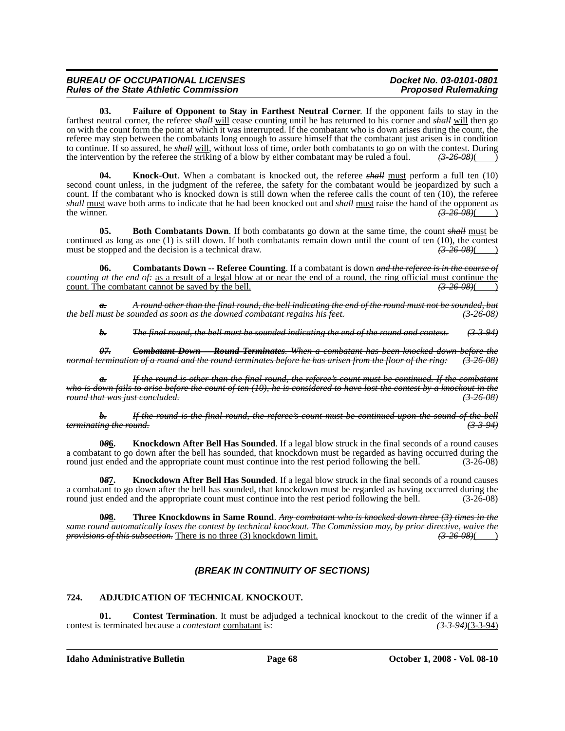**03. Failure of Opponent to Stay in Farthest Neutral Corner**. If the opponent fails to stay in the farthest neutral corner, the referee *shall* will cease counting until he has returned to his corner and *shall* will then go on with the count form the point at which it was interrupted. If the combatant who is down arises during the count, the referee may step between the combatants long enough to assure himself that the combatant just arisen is in condition to continue. If so assured, he *shall* will, without loss of time, order both combatants to go on with the contest. During the intervention by the referee the striking of a blow by either combatant may be ruled a foul. *(3-26-08)*( )

**04. Knock-Out**. When a combatant is knocked out, the referee *shall* must perform a full ten (10) second count unless, in the judgment of the referee, the safety for the combatant would be jeopardized by such a count. If the combatant who is knocked down is still down when the referee calls the count of ten (10), the referee *shall* must wave both arms to indicate that he had been knocked out and *shall* must raise the hand of the opponent as the winner.  $\left(3-26-08\right)\left(1-\right)$ the winner.  $\frac{(3-26-08)}{2}$ 

**05. Both Combatants Down**. If both combatants go down at the same time, the count *shall* must be continued as long as one (1) is still down. If both combatants remain down until the count of ten (10), the contest must be stopped and the decision is a technical draw.  $\left( \frac{3-26-0.8}{2} \right)$ must be stopped and the decision is a technical draw.  $(3-26-08)$  (*)* 

**06. Combatants Down -- Referee Counting**. If a combatant is down *and the referee is in the course of counting at the end of:* as a result of a legal blow at or near the end of a round, the ring official must continue the count. The combatant cannot be saved by the bell.  $\left(3.26-0.06\right)$ count. The combatant cannot be saved by the bell.

*a. A round other than the final round, the bell indicating the end of the round must not be sounded, but the bell must be sounded as soon as the downed combatant regains his feet.* 

*b. The final round, the bell must be sounded indicating the end of the round and contest. (3-3-94)*

*07. Combatant Down -- Round Terminates. When a combatant has been knocked down before the normal termination of a round and the round terminates before he has arisen from the floor of the ring: (3-26-08)*

*a. If the round is other than the final round, the referee's count must be continued. If the combatant who is down fails to arise before the count of ten (10), he is considered to have lost the contest by a knockout in the round that was just concluded. (3-26-08)*

*b. If the round is the final round, the referee's count must be continued upon the sound of the bell terminating the round.* 

**0***8***6. Knockdown After Bell Has Sounded**. If a legal blow struck in the final seconds of a round causes a combatant to go down after the bell has sounded, that knockdown must be regarded as having occurred during the round just ended and the appropriate count must continue into the rest period following the bell.  $(3-26-08)$ 

**0***8***7. Knockdown After Bell Has Sounded**. If a legal blow struck in the final seconds of a round causes a combatant to go down after the bell has sounded, that knockdown must be regarded as having occurred during the round just ended and the appropriate count must continue into the rest period following the bell.  $(3-26-08)$ 

**0***9***8. Three Knockdowns in Same Round**. *Any combatant who is knocked down three (3) times in the same round automatically loses the contest by technical knockout. The Commission may, by prior directive, waive the provisions of this subsection.* There is no three (3) knockdown limit. *(3-26-08)*( )

## *(BREAK IN CONTINUITY OF SECTIONS)*

## **724. ADJUDICATION OF TECHNICAL KNOCKOUT.**

**01. Contest Termination**. It must be adjudged a technical knockout to the credit of the winner if a contest is terminated because a *contestant* combatant is: *(3-3-94)*(3-3-94)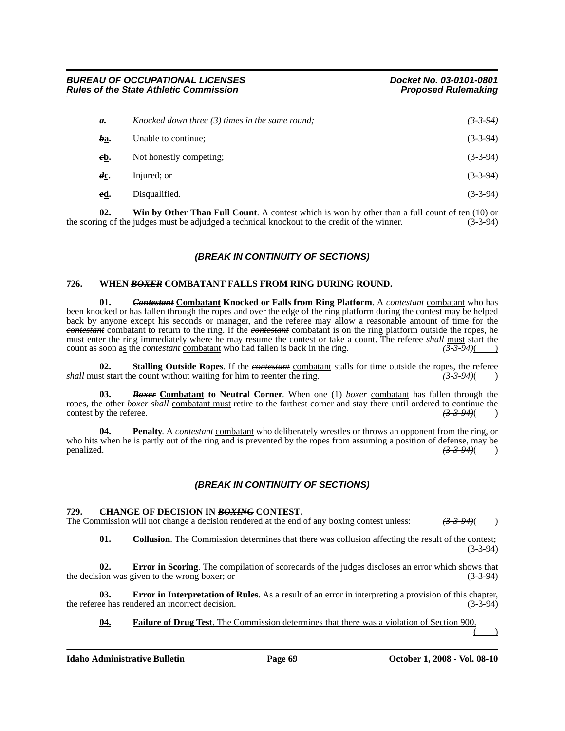| $\theta$ .        | Knocked down three (3) times in the same round: | (3394)     |
|-------------------|-------------------------------------------------|------------|
| ba.               | Unable to continue;                             | $(3-3-94)$ |
| eb.               | Not honestly competing;                         | $(3-3-94)$ |
| $d_{\mathcal{L}}$ | Injured; or                                     | $(3-3-94)$ |
| <u>ed</u> .       | Disqualified.                                   | $(3-3-94)$ |

**02.** Win by Other Than Full Count. A contest which is won by other than a full count of ten (10) or ng of the judges must be adjudged a technical knockout to the credit of the winner. (3-3-94) the scoring of the judges must be adjudged a technical knockout to the credit of the winner.

## *(BREAK IN CONTINUITY OF SECTIONS)*

#### **726. WHEN** *BOXER* **COMBATANT FALLS FROM RING DURING ROUND.**

**01.** *Contestant* **Combatant Knocked or Falls from Ring Platform**. A *contestant* combatant who has been knocked or has fallen through the ropes and over the edge of the ring platform during the contest may be helped back by anyone except his seconds or manager, and the referee may allow a reasonable amount of time for the *contestant* combatant to return to the ring. If the *contestant* combatant is on the ring platform outside the ropes, he must enter the ring immediately where he may resume the contest or take a count. The referee *shall* must start the count as soon as the *contestant* combatant who had fallen is back in the ring.  $(3-3-94)$ 

**02. Stalling Outside Ropes**. If the *contestant* combatant stalls for time outside the ropes, the referee *shall* must start the count without waiting for him to reenter the ring. *(3-3-94)*( )

**03.** *Boxer* **Combatant to Neutral Corner**. When one (1) *boxer* combatant has fallen through the ropes, the other *boxer shall* combatant must retire to the farthest corner and stay there until ordered to continue the contest by the referee.  $\left(3-3-94\right)$ contest by the referee.

**04. Penalty**. A *contestant* combatant who deliberately wrestles or throws an opponent from the ring, or who hits when he is partly out of the ring and is prevented by the ropes from assuming a position of defense, may be penalized.  $\frac{(3.3.94)}{(1.3.94)}$ penalized. *(3-3-94)*( )

## *(BREAK IN CONTINUITY OF SECTIONS)*

#### **729. CHANGE OF DECISION IN** *BOXING* **CONTEST.**

The Commission will not change a decision rendered at the end of any boxing contest unless:  $(3-3-94)$ 

**01.** Collusion. The Commission determines that there was collusion affecting the result of the contest; (3-3-94)

**02. Error in Scoring**. The compilation of scorecards of the judges discloses an error which shows that the decision was given to the wrong boxer; or (3-3-94)

**03. Error in Interpretation of Rules**. As a result of an error in interpreting a provision of this chapter, ee has rendered an incorrect decision. (3-3-94) the referee has rendered an incorrect decision.

#### **04. Failure of Drug Test**. The Commission determines that there was a violation of Section 900.

 $($  )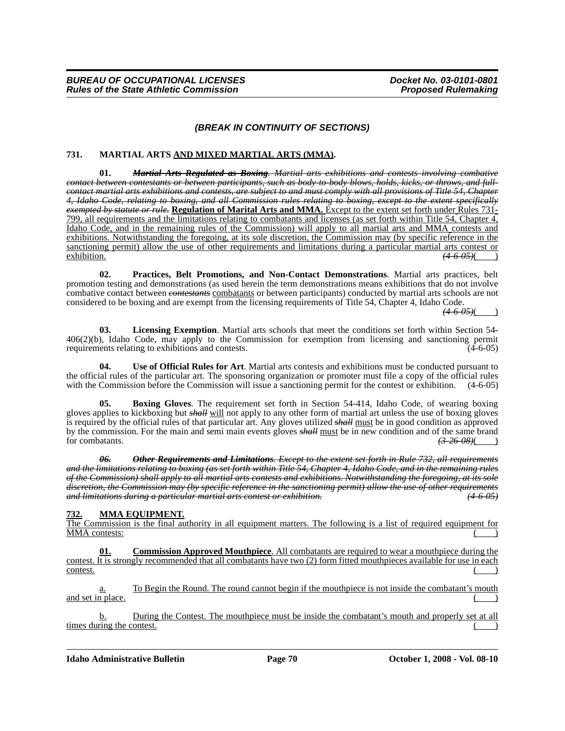## *(BREAK IN CONTINUITY OF SECTIONS)*

## **731. MARTIAL ARTS AND MIXED MARTIAL ARTS (MMA).**

**01.** *Martial Arts Regulated as Boxing. Martial arts exhibitions and contests involving combative contact between contestants or between participants, such as body-to-body blows, holds, kicks, or throws, and fullcontact martial arts exhibitions and contests, are subject to and must comply with all provisions of Title 54, Chapter 4, Idaho Code, relating to boxing, and all Commission rules relating to boxing, except to the extent specifically exempted by statute or rule.* Regulation of Marital Arts and MMA. Except to the extent set forth under Rules 731-<br>799, all requirements and the limitations relating to combatants and licenses (as set forth within Title 54 Idaho Code, and in the remaining rules of the Commission) will apply to all martial arts and MMA contests and exhibitions. Notwithstanding the foregoing, at its sole discretion, the Commission may (by specific reference in the sanctioning permit) allow the use of other requirements and limitations during a particular martial arts contest or exhibition.  $(46.05)($ exhibition. *(4-6-05)*( )

**02. Practices, Belt Promotions, and Non-Contact Demonstrations**. Martial arts practices, belt promotion testing and demonstrations (as used herein the term demonstrations means exhibitions that do not involve combative contact between *contestants* combatants or between participants) conducted by martial arts schools are not considered to be boxing and are exempt from the licensing requirements of Title 54, Chapter 4, Idaho Code.

 $(4.6 - 0.5)$ 

**03. Licensing Exemption**. Martial arts schools that meet the conditions set forth within Section 54- 406(2)(b), Idaho Code, may apply to the Commission for exemption from licensing and sanctioning permit requirements relating to exhibitions and contests. (4-6-05)

**04. Use of Official Rules for Art**. Martial arts contests and exhibitions must be conducted pursuant to the official rules of the particular art. The sponsoring organization or promoter must file a copy of the official rules with the Commission before the Commission will issue a sanctioning permit for the contest or exhibiti with the Commission before the Commission will issue a sanctioning permit for the contest or exhibition.

**Boxing Gloves**. The requirement set forth in Section 54-414, Idaho Code, of wearing boxing gloves applies to kickboxing but *shall* will not apply to any other form of martial art unless the use of boxing gloves is required by the official rules of that particular art. Any gloves utilized *shall* must be in good condition as approved by the commission. For the main and semi main events gloves *shall* must be in new condition and of the same brand for combatants. for combatants.

*06. Other Requirements and Limitations. Except to the extent set forth in Rule 732, all requirements and the limitations relating to boxing (as set forth within Title 54, Chapter 4, Idaho Code, and in the remaining rules of the Commission) shall apply to all martial arts contests and exhibitions. Notwithstanding the foregoing, at its sole discretion, the Commission may (by specific reference in the sanctioning permit) allow the use of other requirements and limitations during a particular martial arts contest or exhibition. (4-6-05)*

## **732. MMA EQUIPMENT.**

The Commission is the final authority in all equipment matters. The following is a list of required equipment for MMA contests:

**01. Commission Approved Mouthpiece**. All combatants are required to wear a mouthpiece during the contest. It is strongly recommended that all combatants have two (2) form fitted mouthpieces available for use in each  $\frac{\text{const.}}{\text{const.}}$ 

a. To Begin the Round. The round cannot begin if the mouthpiece is not inside the combatant's mouth and set in place.

b. During the Contest. The mouthpiece must be inside the combatant's mouth and properly set at all times during the contest.

**Idaho Administrative Bulletin Page 70 October 1, 2008 - Vol. 08-10**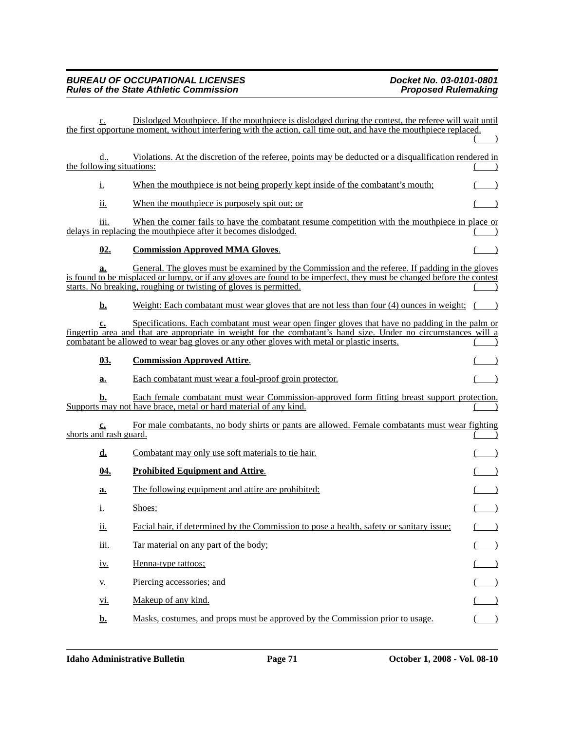| c.                             | Dislodged Mouthpiece. If the mouthpiece is dislodged during the contest, the referee will wait until<br>the first opportune moment, without interfering with the action, call time out, and have the mouthpiece replaced.                                                                                       |  |
|--------------------------------|-----------------------------------------------------------------------------------------------------------------------------------------------------------------------------------------------------------------------------------------------------------------------------------------------------------------|--|
|                                |                                                                                                                                                                                                                                                                                                                 |  |
| d<br>the following situations: | Violations. At the discretion of the referee, points may be deducted or a disqualification rendered in                                                                                                                                                                                                          |  |
| <u>i.</u>                      | When the mouthpiece is not being properly kept inside of the combatant's mouth;                                                                                                                                                                                                                                 |  |
| ii.                            | When the mouthpiece is purposely spit out; or                                                                                                                                                                                                                                                                   |  |
| iii.                           | When the corner fails to have the combatant resume competition with the mouthpiece in place or<br>delays in replacing the mouthpiece after it becomes dislodged.                                                                                                                                                |  |
| 02.                            | <b>Commission Approved MMA Gloves.</b>                                                                                                                                                                                                                                                                          |  |
| a.                             | General. The gloves must be examined by the Commission and the referee. If padding in the gloves<br>is found to be misplaced or lumpy, or if any gloves are found to be imperfect, they must be changed before the contest<br>starts. No breaking, roughing or twisting of gloves is permitted.                 |  |
| <u>b.</u>                      | Weight: Each combatant must wear gloves that are not less than four (4) ounces in weight;                                                                                                                                                                                                                       |  |
| $c_{\bullet}$                  | Specifications. Each combatant must wear open finger gloves that have no padding in the palm or<br>fingertip area and that are appropriate in weight for the combatant's hand size. Under no circumstances will a<br>combatant be allowed to wear bag gloves or any other gloves with metal or plastic inserts. |  |
| 03.                            | <b>Commission Approved Attire.</b>                                                                                                                                                                                                                                                                              |  |
| a.                             | Each combatant must wear a foul-proof groin protector.                                                                                                                                                                                                                                                          |  |
| b.                             | Each female combatant must wear Commission-approved form fitting breast support protection.<br>Supports may not have brace, metal or hard material of any kind.                                                                                                                                                 |  |
| c.<br>shorts and rash guard.   | For male combatants, no body shirts or pants are allowed. Female combatants must wear fighting                                                                                                                                                                                                                  |  |
| d.                             | Combatant may only use soft materials to tie hair.                                                                                                                                                                                                                                                              |  |
| <u>04.</u>                     | <b>Prohibited Equipment and Attire.</b>                                                                                                                                                                                                                                                                         |  |
| a.                             | The following equipment and attire are prohibited:                                                                                                                                                                                                                                                              |  |
| i.                             | Shoes;                                                                                                                                                                                                                                                                                                          |  |
| ii.                            | Facial hair, if determined by the Commission to pose a health, safety or sanitary issue;                                                                                                                                                                                                                        |  |
| <u>ііі.</u>                    | Tar material on any part of the body;                                                                                                                                                                                                                                                                           |  |
| <u>iv.</u>                     | Henna-type tattoos;                                                                                                                                                                                                                                                                                             |  |
| $\underline{V}$ .              | Piercing accessories; and                                                                                                                                                                                                                                                                                       |  |
| <u>vi.</u>                     | Makeup of any kind.                                                                                                                                                                                                                                                                                             |  |
| <u>b.</u>                      | Masks, costumes, and props must be approved by the Commission prior to usage.                                                                                                                                                                                                                                   |  |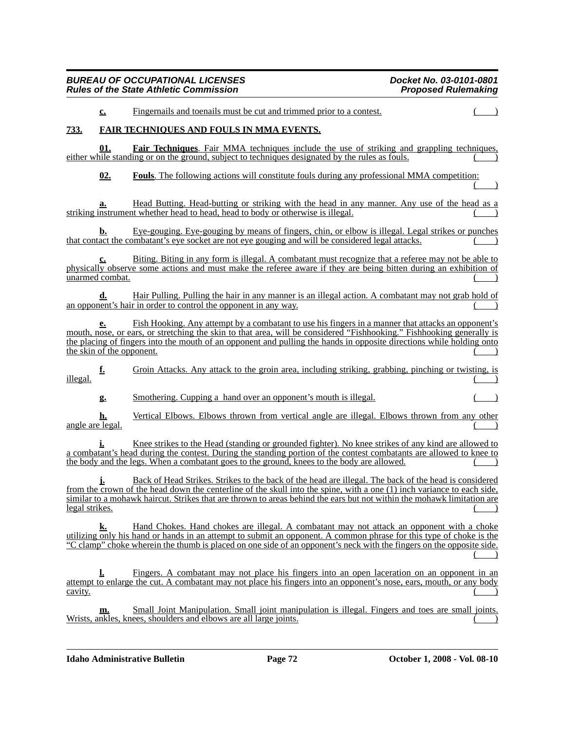# *BUREAU OF OCCUPATIONAL LICENSES Docket No. 03-0101-0801 Rules of the State Athletic Commission* **c.** Fingernails and toenails must be cut and trimmed prior to a contest. **733. FAIR TECHNIQUES AND FOULS IN MMA EVENTS. 01. Fair Techniques**. Fair MMA techniques include the use of striking and grappling techniques, either while standing or on the ground, subject to techniques designated by the rules as fouls. **02. Fouls**. The following actions will constitute fouls during any professional MMA competition:  $($  ) **a.** Head Butting. Head-butting or striking with the head in any manner. Any use of the head as a striking instrument whether head to head, head to body or otherwise is illegal. **b.** Eye-gouging. Eye-gouging by means of fingers, chin, or elbow is illegal. Legal strikes or punches that contact the combatant's eye socket are not eye gouging and will be considered legal attacks. Biting. Biting in any form is illegal. A combatant must recognize that a referee may not be able to physically observe some actions and must make the referee aware if they are being bitten during an exhibition of unarmed combat. (a) Hair Pulling. Pulling the hair in any manner is an illegal action. A combatant may not grab hold of an opponent's hair in order to control the opponent in any way. **e.** Fish Hooking. Any attempt by a combatant to use his fingers in a manner that attacks an opponent's mouth, nose, or ears, or stretching the skin to that area, will be considered "Fishhooking." Fishhooking generally is the placing of fingers into the mouth of an opponent and pulling the hands in opposite directions while holding onto the skin of the opponent. **f.** Groin Attacks. Any attack to the groin area, including striking, grabbing, pinching or twisting, is  $\frac{1}{2}$  illegal. **g.** Smothering. Cupping a hand over an opponent's mouth is illegal. **h.** Vertical Elbows. Elbows thrown from vertical angle are illegal. Elbows thrown from any other angle are legal.

**i.** Knee strikes to the Head (standing or grounded fighter). No knee strikes of any kind are allowed to a combatant's head during the contest. During the standing portion of the contest combatants are allowed to knee to the body and the legs. When a combatant goes to the ground, knees to the body are allowed.

**j.** Back of Head Strikes. Strikes to the back of the head are illegal. The back of the head is considered from the crown of the head down the centerline of the skull into the spine, with a one (1) inch variance to each side, similar to a mohawk haircut. Strikes that are thrown to areas behind the ears but not within the mohawk limitation are legal strikes.

**k.** Hand Chokes. Hand chokes are illegal. A combatant may not attack an opponent with a choke utilizing only his hand or hands in an attempt to submit an opponent. A common phrase for this type of choke is the "C clamp" choke wherein the thumb is placed on one side of an opponent's neck with the fingers on the opposite side.  $($  )

**l.** Fingers. A combatant may not place his fingers into an open laceration on an opponent in an attempt to enlarge the cut. A combatant may not place his fingers into an opponent's nose, ears, mouth, or any body  $\frac{\text{cavity}}{\text{cavity}}$ 

**m.** Small Joint Manipulation. Small joint manipulation is illegal. Fingers and toes are small joints.<br>Wrists, ankles, knees, shoulders and elbows are all large joints. knees, shoulders and elbows are all large joints.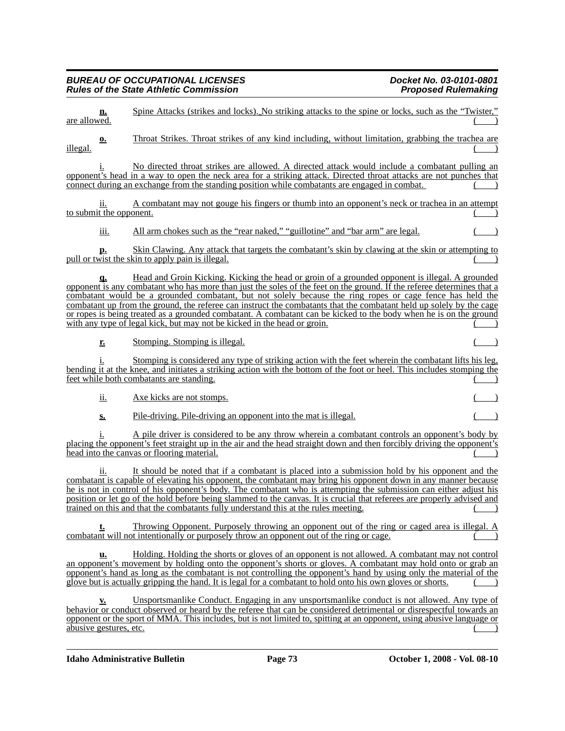| <u>n.</u><br>are allowed.               | Spine Attacks (strikes and locks). No striking attacks to the spine or locks, such as the "Twister,"                                                                                                                                                                                                                                                                                                                                                                                                                                                                                                                                                           |
|-----------------------------------------|----------------------------------------------------------------------------------------------------------------------------------------------------------------------------------------------------------------------------------------------------------------------------------------------------------------------------------------------------------------------------------------------------------------------------------------------------------------------------------------------------------------------------------------------------------------------------------------------------------------------------------------------------------------|
| <u>o.</u><br>illegal.                   | Throat Strikes. Throat strikes of any kind including, without limitation, grabbing the trachea are                                                                                                                                                                                                                                                                                                                                                                                                                                                                                                                                                             |
|                                         | No directed throat strikes are allowed. A directed attack would include a combatant pulling an<br>opponent's head in a way to open the neck area for a striking attack. Directed throat attacks are not punches that<br>connect during an exchange from the standing position while combatants are engaged in combat.                                                                                                                                                                                                                                                                                                                                          |
| 11.<br>to submit the opponent.          | A combatant may not gouge his fingers or thumb into an opponent's neck or trachea in an attempt                                                                                                                                                                                                                                                                                                                                                                                                                                                                                                                                                                |
| iii.                                    | All arm chokes such as the "rear naked," "guillotine" and "bar arm" are legal.                                                                                                                                                                                                                                                                                                                                                                                                                                                                                                                                                                                 |
| р.                                      | Skin Clawing. Any attack that targets the combatant's skin by clawing at the skin or attempting to<br>pull or twist the skin to apply pain is illegal.                                                                                                                                                                                                                                                                                                                                                                                                                                                                                                         |
| <u>a.</u>                               | Head and Groin Kicking. Kicking the head or groin of a grounded opponent is illegal. A grounded<br>opponent is any combatant who has more than just the soles of the feet on the ground. If the referee determines that a<br>combatant would be a grounded combatant, but not solely because the ring ropes or cage fence has held the<br>combatant up from the ground, the referee can instruct the combatants that the combatant held up solely by the cage<br>or ropes is being treated as a grounded combatant. A combatant can be kicked to the body when he is on the ground<br>with any type of legal kick, but may not be kicked in the head or groin. |
| r.                                      | Stomping. Stomping is illegal.                                                                                                                                                                                                                                                                                                                                                                                                                                                                                                                                                                                                                                 |
|                                         | Stomping is considered any type of striking action with the feet wherein the combatant lifts his leg,<br>bending it at the knee, and initiates a striking action with the bottom of the foot or heel. This includes stomping the<br>feet while both combatants are standing.                                                                                                                                                                                                                                                                                                                                                                                   |
| ii.                                     | Axe kicks are not stomps.                                                                                                                                                                                                                                                                                                                                                                                                                                                                                                                                                                                                                                      |
| $S_{2}$                                 | <u>Pile-driving. Pile-driving an opponent into the mat is illegal.</u>                                                                                                                                                                                                                                                                                                                                                                                                                                                                                                                                                                                         |
|                                         | A pile driver is considered to be any throw wherein a combatant controls an opponent's body by<br>placing the opponent's feet straight up in the air and the head straight down and then forcibly driving the opponent's<br>head into the canvas or flooring material.                                                                                                                                                                                                                                                                                                                                                                                         |
| 11.                                     | It should be noted that if a combatant is placed into a submission hold by his opponent and the<br>combatant is capable of elevating his opponent, the combatant may bring his opponent down in any manner because<br>the is not in control of his opponent's body. The combatant who is attempting the submission can either adjust his<br>position or let go of the hold before being slammed to the canvas. It is crucial that referees are properly advised and<br>trained on this and that the combatants fully understand this at the rules meeting.                                                                                                     |
|                                         | Throwing Opponent. Purposely throwing an opponent out of the ring or caged area is illegal. A<br>combatant will not intentionally or purposely throw an opponent out of the ring or cage.                                                                                                                                                                                                                                                                                                                                                                                                                                                                      |
| u.                                      | Holding. Holding the shorts or gloves of an opponent is not allowed. A combatant may not control<br>an opponent's movement by holding onto the opponent's shorts or gloves. A combatant may hold onto or grab an<br>opponent's hand as long as the combatant is not controlling the opponent's hand by using only the material of the<br>glove but is actually gripping the hand. It is legal for a combatant to hold onto his own gloves or shorts.                                                                                                                                                                                                           |
| $Y_{\bullet}$<br>abusive gestures, etc. | Unsportsmanlike Conduct. Engaging in any unsportsmanlike conduct is not allowed. Any type of<br>behavior or conduct observed or heard by the referee that can be considered detrimental or disrespectful towards an<br>opponent or the sport of MMA. This includes, but is not limited to, spitting at an opponent, using abusive language or                                                                                                                                                                                                                                                                                                                  |
|                                         |                                                                                                                                                                                                                                                                                                                                                                                                                                                                                                                                                                                                                                                                |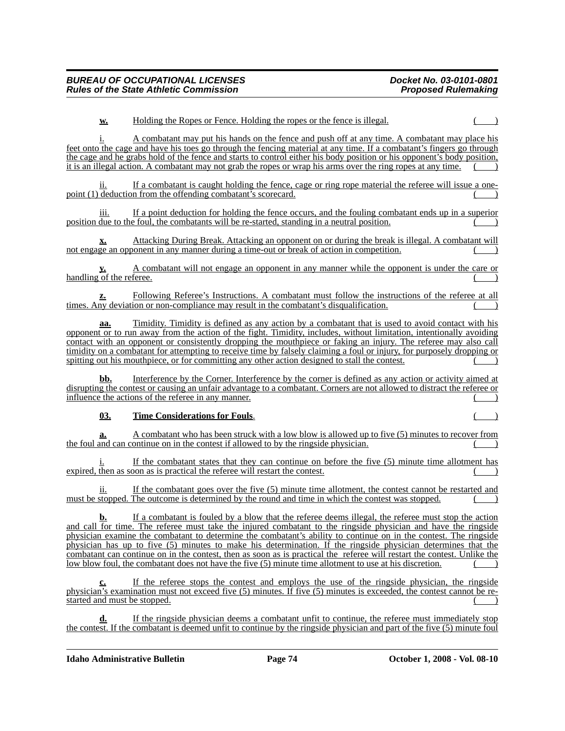#### **w.** Holding the Ropes or Fence. Holding the ropes or the fence is illegal.

i. A combatant may put his hands on the fence and push off at any time. A combatant may place his feet onto the cage and have his toes go through the fencing material at any time. If a combatant's fingers go through the cage and he grabs hold of the fence and starts to control either his body position or his opponent's body position, it is an illegal action. A combatant may not grab the ropes or wrap his arms over the ring ropes at any time.

ii. If a combatant is caught holding the fence, cage or ring rope material the referee will issue a onepoint (1) deduction from the offending combatant's scorecard.

If a point deduction for holding the fence occurs, and the fouling combatant ends up in a superior position due to the foul, the combatants will be re-started, standing in a neutral position.

**x.** Attacking During Break. Attacking an opponent on or during the break is illegal. A combatant will not engage an opponent in any manner during a time-out or break of action in competition.

**y.** A combatant will not engage an opponent in any manner while the opponent is under the care or handling of the referee.

**z.** Following Referee's Instructions. A combatant must follow the instructions of the referee at all times. Any deviation or non-compliance may result in the combatant's disqualification.

**aa.** Timidity. Timidity is defined as any action by a combatant that is used to avoid contact with his opponent or to run away from the action of the fight. Timidity, includes, without limitation, intentionally avoiding contact with an opponent or consistently dropping the mouthpiece or faking an injury. The referee may also call timidity on a combatant for attempting to receive time by falsely claiming a foul or injury, for purposely dropping or spitting out his mouthpiece, or for committing any other action designed to stall the contest.

**bb.** Interference by the Corner. Interference by the corner is defined as any action or activity aimed at disrupting the contest or causing an unfair advantage to a combatant. Corners are not allowed to distract the referee or influence the actions of the referee in any manner.

#### **03. Time Considerations for Fouls**. ( )

**a.** A combatant who has been struck with a low blow is allowed up to five (5) minutes to recover from the foul and can continue on in the contest if allowed to by the ringside physician. ( )

If the combatant states that they can continue on before the five (5) minute time allotment has expired, then as soon as is practical the referee will restart the contest.

ii. If the combatant goes over the five (5) minute time allotment, the contest cannot be restarted and must be stopped. The outcome is determined by the round and time in which the contest was stopped.

**b.** If a combatant is fouled by a blow that the referee deems illegal, the referee must stop the action and call for time. The referee must take the injured combatant to the ringside physician and have the ringside physician examine the combatant to determine the combatant's ability to continue on in the contest. The ringside physician has up to five (5) minutes to make his determination. If the ringside physician determines that the combatant can continue on in the contest, then as soon as is practical the referee will restart the contest. Unlike the low blow foul, the combatant does not have the five (5) minute time allotment to use at his discretion.

**c.** If the referee stops the contest and employs the use of the ringside physician, the ringside physician's examination must not exceed five (5) minutes. If five (5) minutes is exceeded, the contest cannot be restarted and must be stopped.

**d.** If the ringside physician deems a combatant unfit to continue, the referee must immediately stop the contest. If the combatant is deemed unfit to continue by the ringside physician and part of the five (5) minute foul

**Idaho Administrative Bulletin Page 74 October 1, 2008 - Vol. 08-10**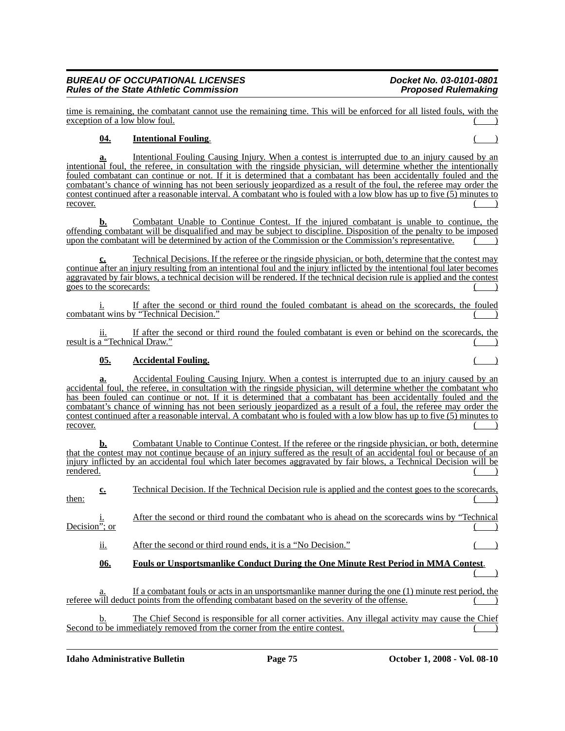time is remaining, the combatant cannot use the remaining time. This will be enforced for all listed fouls, with the exception of a low blow foul.

## **04. Intentional Fouling**. ( )

**a.** Intentional Fouling Causing Injury. When a contest is interrupted due to an injury caused by an intentional foul, the referee, in consultation with the ringside physician, will determine whether the intentionally fouled combatant can continue or not. If it is determined that a combatant has been accidentally fouled and the combatant's chance of winning has not been seriously jeopardized as a result of the foul, the referee may order the contest continued after a reasonable interval. A combatant who is fouled with a low blow has up to five (5) minutes to recover.  $($ 

**b.** Combatant Unable to Continue Contest. If the injured combatant is unable to continue, the offending combatant will be disqualified and may be subject to discipline. Disposition of the penalty to be imposed upon the combatant will be determined by action of the Commission or the Commission's representative.

**c.** Technical Decisions. If the referee or the ringside physician, or both, determine that the contest may continue after an injury resulting from an intentional foul and the injury inflicted by the intentional foul later becomes aggravated by fair blows, a technical decision will be rendered. If the technical decision rule is applied and the contest goes to the scorecards: ( )

If after the second or third round the fouled combatant is ahead on the scorecards, the fouled combatant wins by "Technical Decision."

ii. If after the second or third round the fouled combatant is even or behind on the scorecards, the result is a "Technical Draw."

## **05. Accidental Fouling.** ( )

**a.** Accidental Fouling Causing Injury. When a contest is interrupted due to an injury caused by an accidental foul, the referee, in consultation with the ringside physician, will determine whether the combatant who has been fouled can continue or not. If it is determined that a combatant has been accidentally fouled and the combatant's chance of winning has not been seriously jeopardized as a result of a foul, the referee may order the contest continued after a reasonable interval. A combatant who is fouled with a low blow has up to five (5) minutes to recover.  $($ 

**b.** Combatant Unable to Continue Contest. If the referee or the ringside physician, or both, determine that the contest may not continue because of an injury suffered as the result of an accidental foul or because of an injury inflicted by an accidental foul which later becomes aggravated by fair blows, a Technical Decision will be rendered. rendered. ( ) and the contract of the contract of the contract of the contract of the contract of the contract of the contract of the contract of the contract of the contract of the contract of the contract of the contract

| then:                                               | <u>c.</u>  | Technical Decision. If the Technical Decision rule is applied and the contest goes to the scorecards,                                                                                                 |
|-----------------------------------------------------|------------|-------------------------------------------------------------------------------------------------------------------------------------------------------------------------------------------------------|
| $rac{\underline{i}}{\underline{i}}$ . Decision"; or |            | After the second or third round the combatant who is ahead on the scorecards wins by "Technical                                                                                                       |
|                                                     | <u>ii.</u> | After the second or third round ends, it is a "No Decision."                                                                                                                                          |
|                                                     | <u>06.</u> | Fouls or Unsportsmanlike Conduct During the One Minute Rest Period in MMA Contest.                                                                                                                    |
|                                                     | a.         | If a combatant fouls or acts in an unsportsmanlike manner during the one (1) minute rest period, the<br>referee will deduct points from the offending combatant based on the severity of the offense. |
|                                                     | b.         | The Chief Second is responsible for all corner activities. Any illegal activity may cause the Chief<br>Second to be immediately removed from the corner from the entire contest.                      |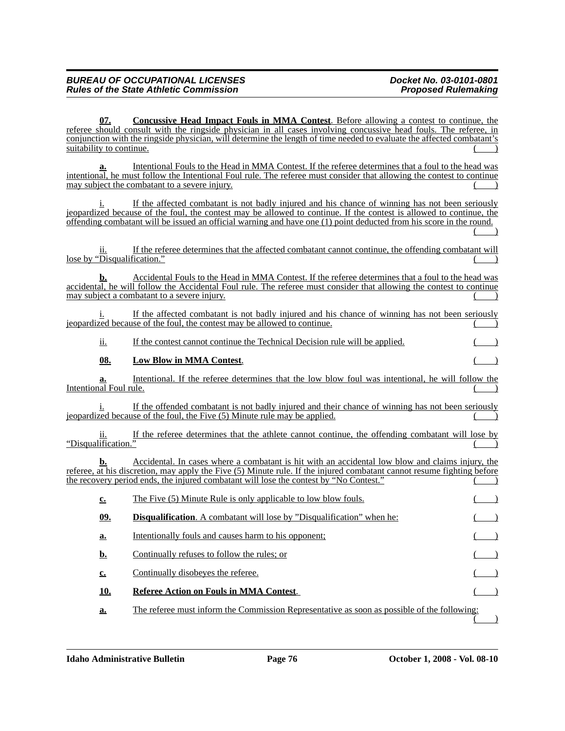**07. Concussive Head Impact Fouls in MMA Contest**. Before allowing a contest to continue, the referee should consult with the ringside physician in all cases involving concussive head fouls. The referee, in conjunction with the ringside physician, will determine the length of time needed to evaluate the affected combatant's suitability to continue.

Intentional Fouls to the Head in MMA Contest. If the referee determines that a foul to the head was intentional, he must follow the Intentional Foul rule. The referee must consider that allowing the contest to continue may subject the combatant to a severe injury.

i. If the affected combatant is not badly injured and his chance of winning has not been seriously jeopardized because of the foul, the contest may be allowed to continue. If the contest is allowed to continue, the offending combatant will be issued an official warning and have one (1) point deducted from his score in the round.  $($  )

If the referee determines that the affected combatant cannot continue, the offending combatant will lose by " $\overline{\text{Disqualification}}$ ."

**b.** Accidental Fouls to the Head in MMA Contest. If the referee determines that a foul to the head was accidental, he will follow the Accidental Foul rule. The referee must consider that allowing the contest to continue may subject a combatant to a severe injury.

If the affected combatant is not badly injured and his chance of winning has not been seriously jeopardized because of the foul, the contest may be allowed to continue.

ii. If the contest cannot continue the Technical Decision rule will be applied. ( )

## **08.** Low Blow in MMA Contest.

**a.** Intentional. If the referee determines that the low blow foul was intentional, he will follow the Intentional Foul rule.

If the offended combatant is not badly injured and their chance of winning has not been seriously  $j$ <sub>e</sub> ieopardized because of the foul, the Five  $(5)$  Minute rule may be applied.

ii. If the referee determines that the athlete cannot continue, the offending combatant will lose by "Disqualification."

**b.** Accidental. In cases where a combatant is hit with an accidental low blow and claims injury, the referee, at his discretion, may apply the Five (5) Minute rule. If the injured combatant cannot resume fighting before the recovery period ends, the injured combatant will lose the contest by "No Contest."

| c.  | The Five (5) Minute Rule is only applicable to low blow fouls.                              |  |
|-----|---------------------------------------------------------------------------------------------|--|
| 09. | <b>Disqualification.</b> A combatant will lose by "Disqualification" when he:               |  |
| a.  | Intentionally fouls and causes harm to his opponent;                                        |  |
| b.  | Continually refuses to follow the rules; or                                                 |  |
| c.  | Continually disobeyes the referee.                                                          |  |
| 10. | Referee Action on Fouls in MMA Contest.                                                     |  |
| a.  | The referee must inform the Commission Representative as soon as possible of the following: |  |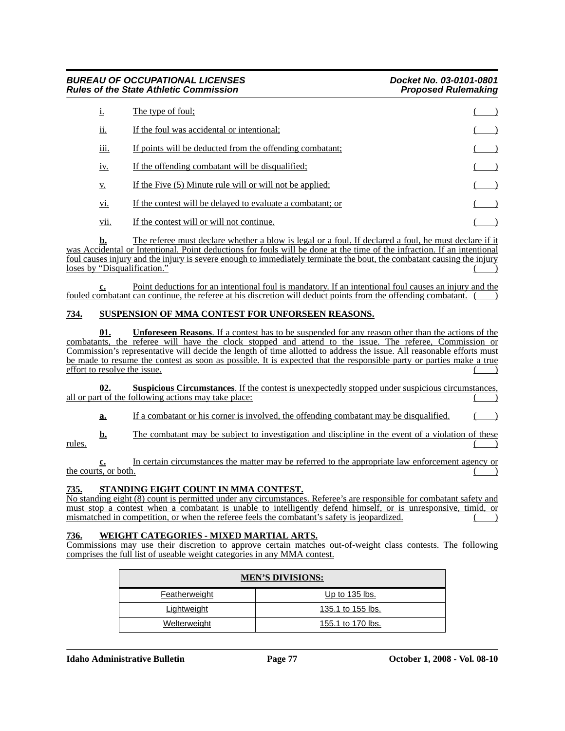| Ţ,          | The type of foul:                                          |  |
|-------------|------------------------------------------------------------|--|
| <u>ii.</u>  | If the foul was accidental or intentional;                 |  |
| <u>iii.</u> | If points will be deducted from the offending combatant;   |  |
| <u>iv.</u>  | If the offending combatant will be disqualified:           |  |
| <u>v.</u>   | If the Five (5) Minute rule will or will not be applied;   |  |
| <u>vi.</u>  | If the contest will be delayed to evaluate a combatant; or |  |
| vii.        | If the contest will or will not continue.                  |  |

**b.** The referee must declare whether a blow is legal or a foul. If declared a foul, he must declare if it was Accidental or Intentional. Point deductions for fouls will be done at the time of the infraction. If an intentional foul causes injury and the injury is severe enough to immediately terminate the bout, the combatant causing the injury loses by "Disqualification."

**c.** Point deductions for an intentional foul is mandatory. If an intentional foul causes an injury and the fouled combatant can continue, the referee at his discretion will deduct points from the offending combatant.

## **734. SUSPENSION OF MMA CONTEST FOR UNFORSEEN REASONS.**

**01. Unforeseen Reasons**. If a contest has to be suspended for any reason other than the actions of the combatants, the referee will have the clock stopped and attend to the issue. The referee, Commission or Commission's representative will decide the length of time allotted to address the issue. All reasonable efforts must be made to resume the contest as soon as possible. It is expected that the responsible party or parties make a true effort to resolve the issue. ( )

**02. Suspicious Circumstances**. If the contest is unexpectedly stopped under suspicious circumstances, all or part of the following actions may take place:

**a.** If a combatant or his corner is involved, the offending combatant may be disqualified.

**b.** The combatant may be subject to investigation and discipline in the event of a violation of these rules. ( )

**c.** In certain circumstances the matter may be referred to the appropriate law enforcement agency or the courts, or both.

#### **735. STANDING EIGHT COUNT IN MMA CONTEST.**

No standing eight (8) count is permitted under any circumstances. Referee's are responsible for combatant safety and must stop a contest when a combatant is unable to intelligently defend himself, or is unresponsive, timid, or mismatched in competition, or when the referee feels the combatant's safety is jeopardized.

#### **736. WEIGHT CATEGORIES - MIXED MARTIAL ARTS.**

Commissions may use their discretion to approve certain matches out-of-weight class contests. The following comprises the full list of useable weight categories in any MMA contest.

| <b>MEN'S DIVISIONS:</b> |                   |  |  |  |  |  |  |  |
|-------------------------|-------------------|--|--|--|--|--|--|--|
| <b>Featherweight</b>    | Up to $135$ lbs.  |  |  |  |  |  |  |  |
| Lightweight             | 135.1 to 155 lbs. |  |  |  |  |  |  |  |
| Welterweight            | 155.1 to 170 lbs. |  |  |  |  |  |  |  |

**Idaho Administrative Bulletin Page 77 October 1, 2008 - Vol. 08-10**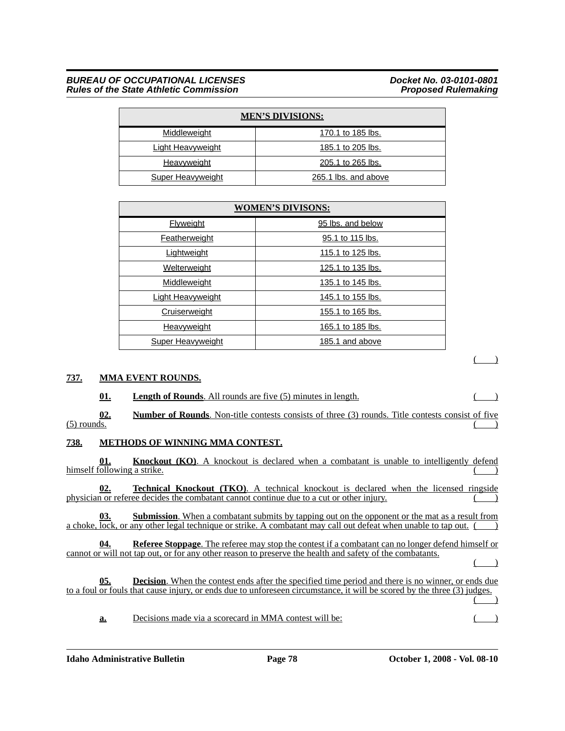### *BUREAU OF OCCUPATIONAL LICENSES*<br>Rules of the State Athletic Commission **Ducket No. 03-0101-0801** *Rules of the State Athletic Commission*

| <b>MEN'S DIVISIONS:</b>  |                      |  |  |  |  |  |  |  |  |
|--------------------------|----------------------|--|--|--|--|--|--|--|--|
| Middleweight             | 170.1 to 185 lbs.    |  |  |  |  |  |  |  |  |
| <b>Light Heavyweight</b> | 185.1 to 205 lbs.    |  |  |  |  |  |  |  |  |
| Heavyweight              | 205.1 to 265 lbs.    |  |  |  |  |  |  |  |  |
| Super Heavyweight        | 265.1 lbs. and above |  |  |  |  |  |  |  |  |

| <b>WOMEN'S DIVISONS:</b> |                   |  |  |  |  |  |  |  |  |
|--------------------------|-------------------|--|--|--|--|--|--|--|--|
| <b>Flyweight</b>         | 95 lbs. and below |  |  |  |  |  |  |  |  |
| Featherweight            | 95.1 to 115 lbs.  |  |  |  |  |  |  |  |  |
| Lightweight              | 115.1 to 125 lbs. |  |  |  |  |  |  |  |  |
| Welterweight             | 125.1 to 135 lbs. |  |  |  |  |  |  |  |  |
| Middleweight             | 135.1 to 145 lbs. |  |  |  |  |  |  |  |  |
| <b>Light Heavyweight</b> | 145.1 to 155 lbs. |  |  |  |  |  |  |  |  |
| <b>Cruiserweight</b>     | 155.1 to 165 lbs. |  |  |  |  |  |  |  |  |
| <b>Heavyweight</b>       | 165.1 to 185 lbs. |  |  |  |  |  |  |  |  |
| <b>Super Heavyweight</b> | 185.1 and above   |  |  |  |  |  |  |  |  |

## **737. MMA EVENT ROUNDS.**

**01. Length of Rounds**. All rounds are five (5) minutes in length. (1)

**02. Number of Rounds**. Non-title contests consists of three (3) rounds. Title contests consist of five (5) rounds.  $(5)$  rounds.  $($ 

## **738. METHODS OF WINNING MMA CONTEST.**

**01. Knockout (KO)**. A knockout is declared when a combatant is unable to intelligently defend himself following a strike.

**02. Technical Knockout (TKO)**. A technical knockout is declared when the licensed ringside physician or referee decides the combatant cannot continue due to a cut or other injury.

**03. Submission**. When a combatant submits by tapping out on the opponent or the mat as a result from a choke, lock, or any other legal technique or strike. A combatant may call out defeat when unable to tap out. ( )

**04. Referee Stoppage**. The referee may stop the contest if a combatant can no longer defend himself or cannot or will not tap out, or for any other reason to preserve the health and safety of the combatants.

( )

 $($ 

|                                                                                                                          | 05. |  |  |  |  |  |  |  | <b>Decision.</b> When the contest ends after the specified time period and there is no winner, or ends due |  |  |
|--------------------------------------------------------------------------------------------------------------------------|-----|--|--|--|--|--|--|--|------------------------------------------------------------------------------------------------------------|--|--|
| to a foul or fouls that cause injury, or ends due to unforeseen circumstance, it will be scored by the three (3) judges. |     |  |  |  |  |  |  |  |                                                                                                            |  |  |
|                                                                                                                          |     |  |  |  |  |  |  |  |                                                                                                            |  |  |

**a.** Decisions made via a scorecard in MMA contest will be: ()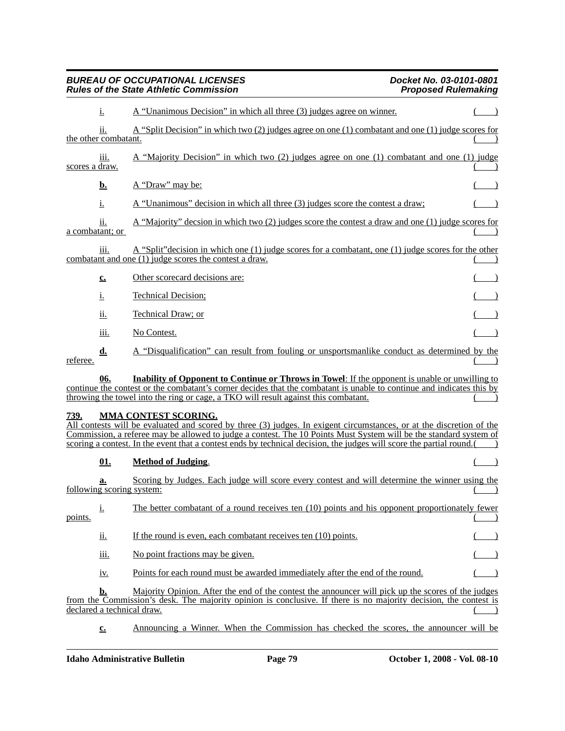|                | $\frac{1}{1}$          | A "Unanimous Decision" in which all three (3) judges agree on winner.                                                                                                                                                                                                                                                                                                                           |  |
|----------------|------------------------|-------------------------------------------------------------------------------------------------------------------------------------------------------------------------------------------------------------------------------------------------------------------------------------------------------------------------------------------------------------------------------------------------|--|
|                | 11.                    | A "Split Decision" in which two (2) judges agree on one (1) combatant and one (1) judge scores for                                                                                                                                                                                                                                                                                              |  |
|                | the other combatant.   |                                                                                                                                                                                                                                                                                                                                                                                                 |  |
| scores a draw. | iii.                   | A "Majority Decision" in which two (2) judges agree on one (1) combatant and one (1) judge                                                                                                                                                                                                                                                                                                      |  |
|                | <u>b.</u>              | A "Draw" may be:                                                                                                                                                                                                                                                                                                                                                                                |  |
|                | i.                     | A "Unanimous" decision in which all three (3) judges score the contest a draw;                                                                                                                                                                                                                                                                                                                  |  |
|                | 11.<br>a combatant; or | A "Majority" decsion in which two $(2)$ judges score the contest a draw and one $(1)$ judge scores for                                                                                                                                                                                                                                                                                          |  |
|                | <u>iii.</u>            | A "Split" decision in which one (1) judge scores for a combatant, one (1) judge scores for the other<br>combatant and one (1) judge scores the contest a draw.                                                                                                                                                                                                                                  |  |
|                | $c_{\cdot}$            | Other scorecard decisions are:                                                                                                                                                                                                                                                                                                                                                                  |  |
|                | <u>i.</u>              | <b>Technical Decision;</b>                                                                                                                                                                                                                                                                                                                                                                      |  |
|                | <u>ii.</u>             | Technical Draw; or                                                                                                                                                                                                                                                                                                                                                                              |  |
|                | 111.                   | No Contest.                                                                                                                                                                                                                                                                                                                                                                                     |  |
| referee.       | $\mathbf{d}$ .         | A "Disqualification" can result from fouling or unsportsmanlike conduct as determined by the                                                                                                                                                                                                                                                                                                    |  |
|                | 06.                    | <b>Inability of Opponent to Continue or Throws in Towel:</b> If the opponent is unable or unwilling to                                                                                                                                                                                                                                                                                          |  |
|                |                        | continue the contest or the combatant's corner decides that the combatant is unable to continue and indicates this by<br>throwing the towel into the ring or cage, a TKO will result against this combatant.                                                                                                                                                                                    |  |
| 739.           |                        | <b>MMA CONTEST SCORING.</b><br>All contests will be evaluated and scored by three (3) judges. In exigent circumstances, or at the discretion of the<br>Commission, a referee may be allowed to judge a contest. The 10 Points Must System will be the standard system of<br>scoring a contest. In the event that a contest ends by technical decision, the judges will score the partial round. |  |
|                | 01.                    | <b>Method of Judging.</b>                                                                                                                                                                                                                                                                                                                                                                       |  |
|                | a.                     | Scoring by Judges. Each judge will score every contest and will determine the winner using the<br><u>following scoring system:</u>                                                                                                                                                                                                                                                              |  |
| points.        | 1.                     | The better combatant of a round receives ten (10) points and his opponent proportionately fewer                                                                                                                                                                                                                                                                                                 |  |
|                | <u>ii.</u>             | If the round is even, each combatant receives ten (10) points.                                                                                                                                                                                                                                                                                                                                  |  |
|                | <u>iii.</u>            | No point fractions may be given.                                                                                                                                                                                                                                                                                                                                                                |  |
|                | <u>iv.</u>             | Points for each round must be awarded immediately after the end of the round.                                                                                                                                                                                                                                                                                                                   |  |
|                | <u>b.</u>              | Majority Opinion. After the end of the contest the announcer will pick up the scores of the judges                                                                                                                                                                                                                                                                                              |  |
|                |                        | from the Commission's desk. The majority opinion is conclusive. If there is no majority decision, the contest is<br>declared a technical draw.                                                                                                                                                                                                                                                  |  |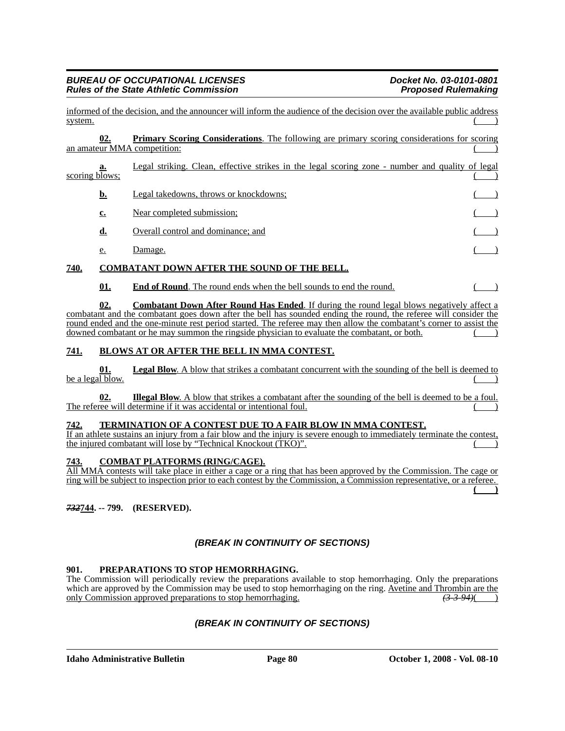informed of the decision, and the announcer will inform the audience of the decision over the available public address system. ( )

|                             |  | <b>Primary Scoring Considerations.</b> The following are primary scoring considerations for scoring |  |  |  |
|-----------------------------|--|-----------------------------------------------------------------------------------------------------|--|--|--|
| an amateur MMA competition: |  |                                                                                                     |  |  |  |

# **a.** Legal striking. Clean, effective strikes in the legal scoring zone - number and quality of legal scoring blows;

- **b.** Legal takedowns, throws or knockdowns;
- **c.** Near completed submission; **d.** Overall control and dominance; and
- e. Damage. ( )

## **740. COMBATANT DOWN AFTER THE SOUND OF THE BELL.**

**01. End of Round**. The round ends when the bell sounds to end the round.

**02. Combatant Down After Round Has Ended**. If during the round legal blows negatively affect a combatant and the combatant goes down after the bell has sounded ending the round, the referee will consider the round ended and the one-minute rest period started. The referee may then allow the combatant's corner to assist the downed combatant or he may summon the ringside physician to evaluate the combatant, or both.

## **741. BLOWS AT OR AFTER THE BELL IN MMA CONTEST.**

**01. Legal Blow**. A blow that strikes a combatant concurrent with the sounding of the bell is deemed to be a legal blow.

**02. Illegal Blow**. A blow that strikes a combatant after the sounding of the bell is deemed to be a foul. The referee will determine if it was accidental or intentional foul.

## **742. TERMINATION OF A CONTEST DUE TO A FAIR BLOW IN MMA CONTEST.**

If an athlete sustains an injury from a fair blow and the injury is severe enough to immediately terminate the contest, the injured combatant will lose by "Technical Knockout (TKO)".

## **743. COMBAT PLATFORMS (RING/CAGE).**

All MMA contests will take place in either a cage or a ring that has been approved by the Commission. The cage or ring will be subject to inspection prior to each contest by the Commission, a Commission representative, or a referee. **( )**

*732***744. -- 799. (RESERVED).**

## *(BREAK IN CONTINUITY OF SECTIONS)*

## **901. PREPARATIONS TO STOP HEMORRHAGING.**

The Commission will periodically review the preparations available to stop hemorrhaging. Only the preparations which are approved by the Commission may be used to stop hemorrhaging on the ring. Avetine and Thrombin are the only Commission approved preparations to stop hemorrhaging. *(3-3-94)*( )

## *(BREAK IN CONTINUITY OF SECTIONS)*

**Idaho Administrative Bulletin Page 80 October 1, 2008 - Vol. 08-10**